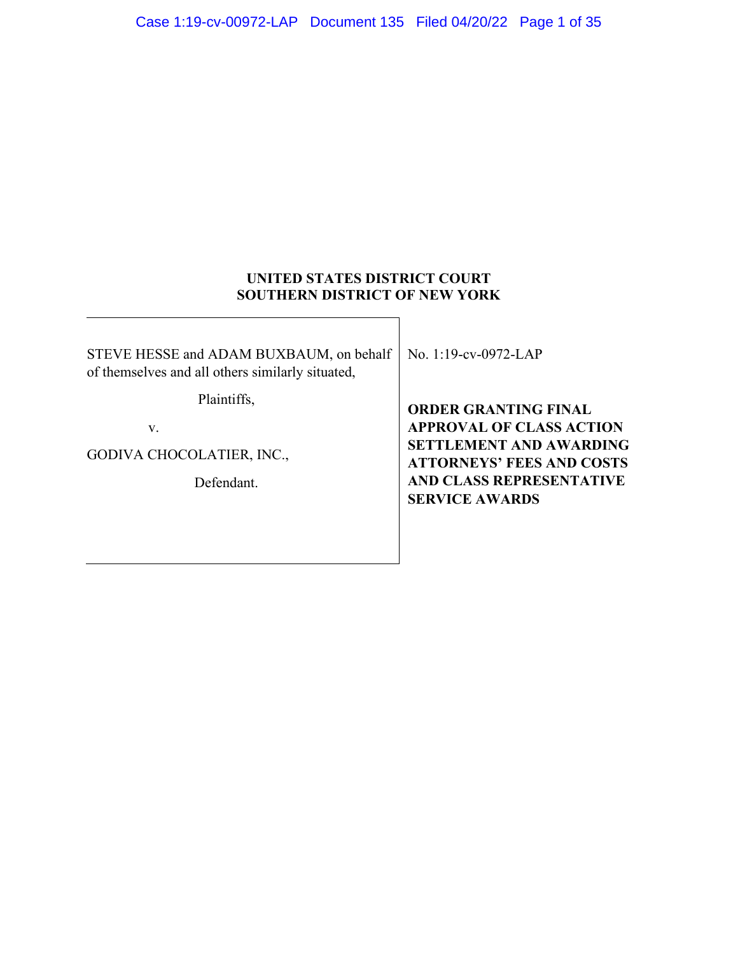# **UNITED STATES DISTRICT COURT SOUTHERN DISTRICT OF NEW YORK**

STEVE HESSE and ADAM BUXBAUM, on behalf of themselves and all others similarly situated,

Plaintiffs,

v.

GODIVA CHOCOLATIER, INC.,

Defendant.

No. 1:19-cv-0972-LAP

**ORDER GRANTING FINAL APPROVAL OF CLASS ACTION SETTLEMENT AND AWARDING ATTORNEYS' FEES AND COSTS AND CLASS REPRESENTATIVE SERVICE AWARDS**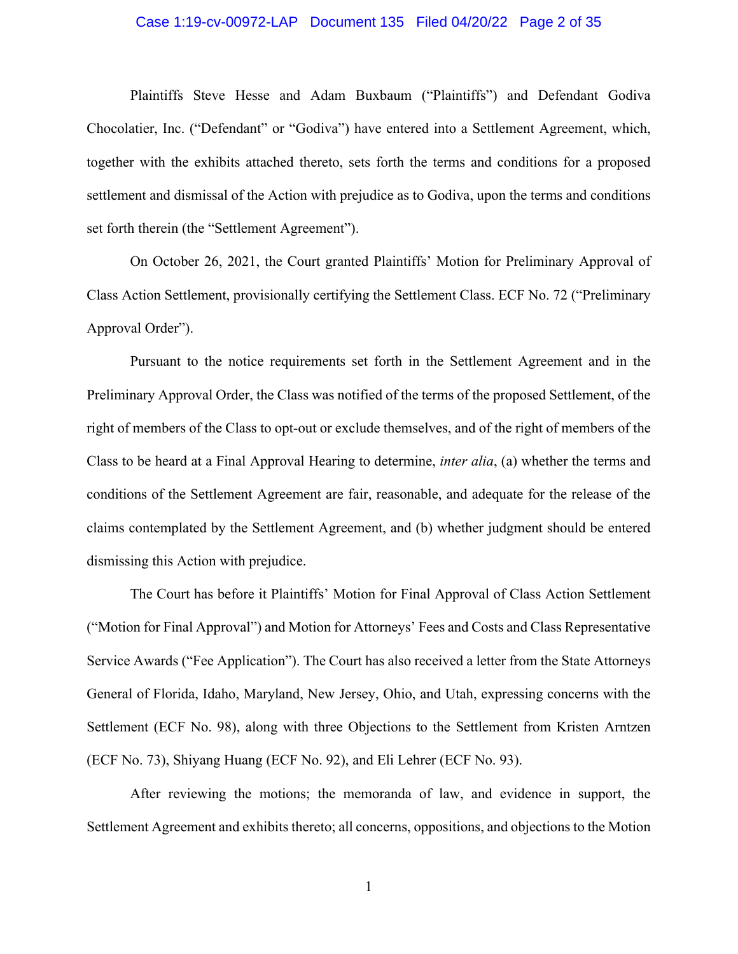## Case 1:19-cv-00972-LAP Document 135 Filed 04/20/22 Page 2 of 35

Plaintiffs Steve Hesse and Adam Buxbaum ("Plaintiffs") and Defendant Godiva Chocolatier, Inc. ("Defendant" or "Godiva") have entered into a Settlement Agreement, which, together with the exhibits attached thereto, sets forth the terms and conditions for a proposed settlement and dismissal of the Action with prejudice as to Godiva, upon the terms and conditions set forth therein (the "Settlement Agreement").

On October 26, 2021, the Court granted Plaintiffs' Motion for Preliminary Approval of Class Action Settlement, provisionally certifying the Settlement Class. ECF No. 72 ("Preliminary Approval Order").

Pursuant to the notice requirements set forth in the Settlement Agreement and in the Preliminary Approval Order, the Class was notified of the terms of the proposed Settlement, of the right of members of the Class to opt-out or exclude themselves, and of the right of members of the Class to be heard at a Final Approval Hearing to determine, *inter alia*, (a) whether the terms and conditions of the Settlement Agreement are fair, reasonable, and adequate for the release of the claims contemplated by the Settlement Agreement, and (b) whether judgment should be entered dismissing this Action with prejudice.

The Court has before it Plaintiffs' Motion for Final Approval of Class Action Settlement ("Motion for Final Approval") and Motion for Attorneys' Fees and Costs and Class Representative Service Awards ("Fee Application"). The Court has also received a letter from the State Attorneys General of Florida, Idaho, Maryland, New Jersey, Ohio, and Utah, expressing concerns with the Settlement (ECF No. 98), along with three Objections to the Settlement from Kristen Arntzen (ECF No. 73), Shiyang Huang (ECF No. 92), and Eli Lehrer (ECF No. 93).

After reviewing the motions; the memoranda of law, and evidence in support, the Settlement Agreement and exhibits thereto; all concerns, oppositions, and objections to the Motion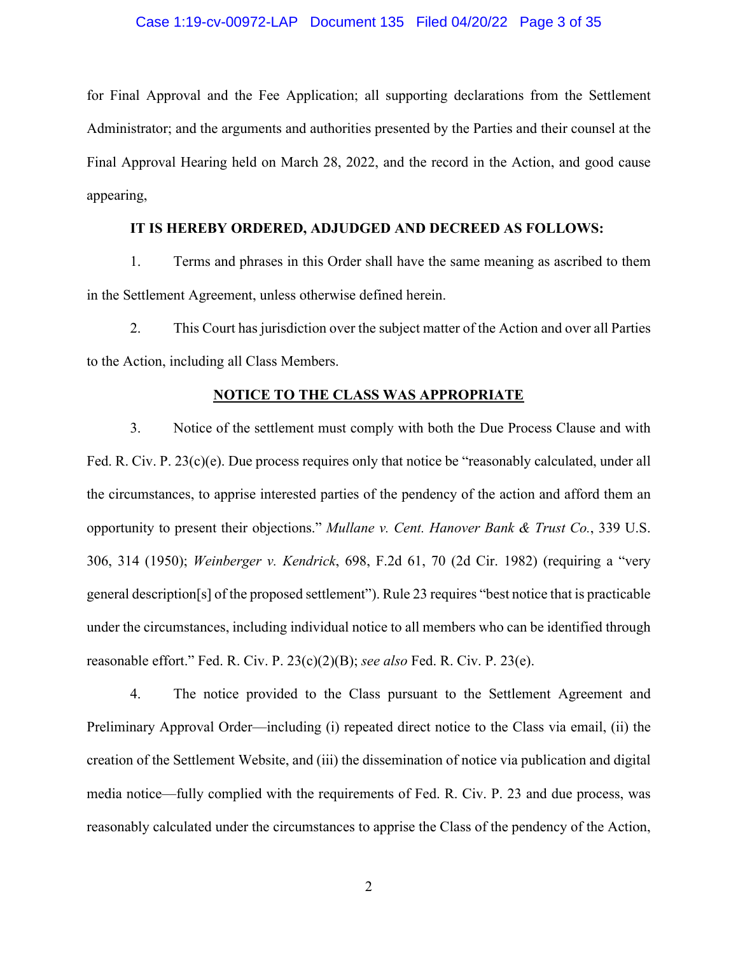## Case 1:19-cv-00972-LAP Document 135 Filed 04/20/22 Page 3 of 35

for Final Approval and the Fee Application; all supporting declarations from the Settlement Administrator; and the arguments and authorities presented by the Parties and their counsel at the Final Approval Hearing held on March 28, 2022, and the record in the Action, and good cause appearing,

## **IT IS HEREBY ORDERED, ADJUDGED AND DECREED AS FOLLOWS:**

1. Terms and phrases in this Order shall have the same meaning as ascribed to them in the Settlement Agreement, unless otherwise defined herein.

2. This Court has jurisdiction over the subject matter of the Action and over all Parties to the Action, including all Class Members.

#### **NOTICE TO THE CLASS WAS APPROPRIATE**

3. Notice of the settlement must comply with both the Due Process Clause and with Fed. R. Civ. P. 23(c)(e). Due process requires only that notice be "reasonably calculated, under all the circumstances, to apprise interested parties of the pendency of the action and afford them an opportunity to present their objections." *Mullane v. Cent. Hanover Bank & Trust Co.*, 339 U.S. 306, 314 (1950); *Weinberger v. Kendrick*, 698, F.2d 61, 70 (2d Cir. 1982) (requiring a "very general description[s] of the proposed settlement"). Rule 23 requires "best notice that is practicable under the circumstances, including individual notice to all members who can be identified through reasonable effort." Fed. R. Civ. P. 23(c)(2)(B); *see also* Fed. R. Civ. P. 23(e).

4. The notice provided to the Class pursuant to the Settlement Agreement and Preliminary Approval Order—including (i) repeated direct notice to the Class via email, (ii) the creation of the Settlement Website, and (iii) the dissemination of notice via publication and digital media notice—fully complied with the requirements of Fed. R. Civ. P. 23 and due process, was reasonably calculated under the circumstances to apprise the Class of the pendency of the Action,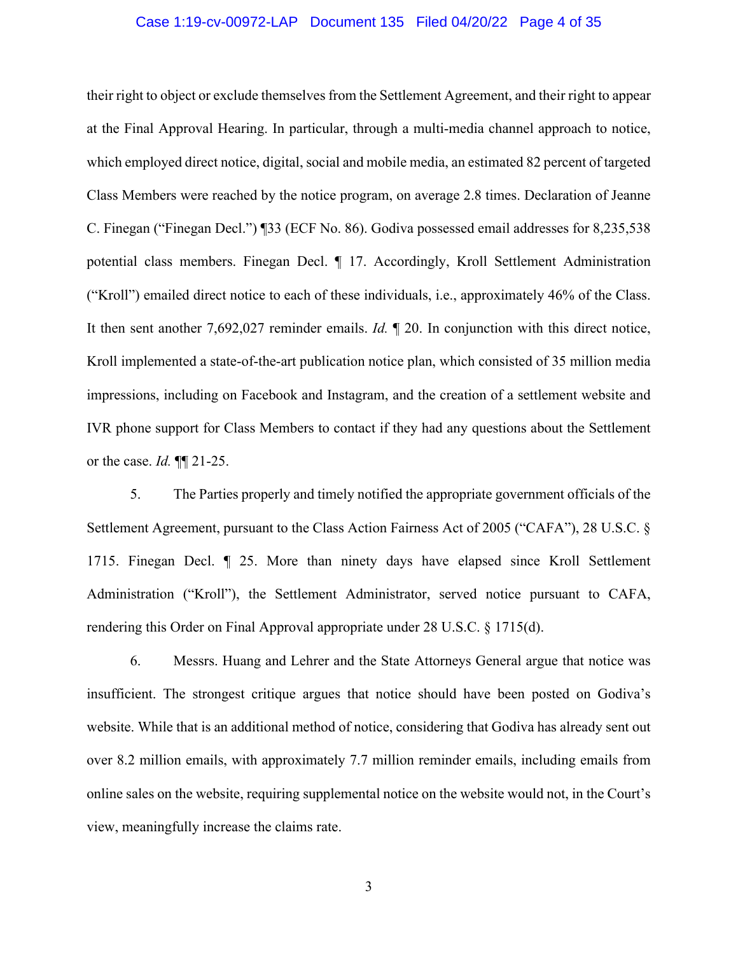## Case 1:19-cv-00972-LAP Document 135 Filed 04/20/22 Page 4 of 35

their right to object or exclude themselves from the Settlement Agreement, and their right to appear at the Final Approval Hearing. In particular, through a multi-media channel approach to notice, which employed direct notice, digital, social and mobile media, an estimated 82 percent of targeted Class Members were reached by the notice program, on average 2.8 times. Declaration of Jeanne C. Finegan ("Finegan Decl.") ¶33 (ECF No. 86). Godiva possessed email addresses for 8,235,538 potential class members. Finegan Decl. ¶ 17. Accordingly, Kroll Settlement Administration ("Kroll") emailed direct notice to each of these individuals, i.e., approximately 46% of the Class. It then sent another 7,692,027 reminder emails. *Id.* ¶ 20. In conjunction with this direct notice, Kroll implemented a state-of-the-art publication notice plan, which consisted of 35 million media impressions, including on Facebook and Instagram, and the creation of a settlement website and IVR phone support for Class Members to contact if they had any questions about the Settlement or the case. *Id.* ¶¶ 21-25.

5. The Parties properly and timely notified the appropriate government officials of the Settlement Agreement, pursuant to the Class Action Fairness Act of 2005 ("CAFA"), 28 U.S.C. § 1715. Finegan Decl. ¶ 25. More than ninety days have elapsed since Kroll Settlement Administration ("Kroll"), the Settlement Administrator, served notice pursuant to CAFA, rendering this Order on Final Approval appropriate under 28 U.S.C. § 1715(d).

6. Messrs. Huang and Lehrer and the State Attorneys General argue that notice was insufficient. The strongest critique argues that notice should have been posted on Godiva's website. While that is an additional method of notice, considering that Godiva has already sent out over 8.2 million emails, with approximately 7.7 million reminder emails, including emails from online sales on the website, requiring supplemental notice on the website would not, in the Court's view, meaningfully increase the claims rate.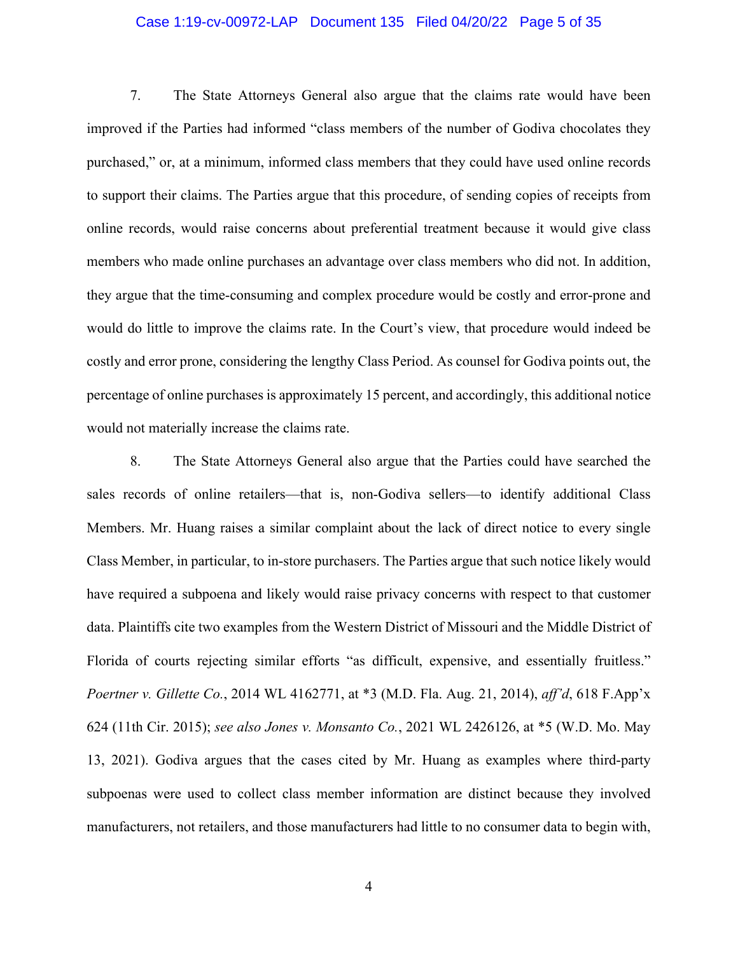## Case 1:19-cv-00972-LAP Document 135 Filed 04/20/22 Page 5 of 35

7. The State Attorneys General also argue that the claims rate would have been improved if the Parties had informed "class members of the number of Godiva chocolates they purchased," or, at a minimum, informed class members that they could have used online records to support their claims. The Parties argue that this procedure, of sending copies of receipts from online records, would raise concerns about preferential treatment because it would give class members who made online purchases an advantage over class members who did not. In addition, they argue that the time-consuming and complex procedure would be costly and error-prone and would do little to improve the claims rate. In the Court's view, that procedure would indeed be costly and error prone, considering the lengthy Class Period. As counsel for Godiva points out, the percentage of online purchases is approximately 15 percent, and accordingly, this additional notice would not materially increase the claims rate.

8. The State Attorneys General also argue that the Parties could have searched the sales records of online retailers—that is, non-Godiva sellers—to identify additional Class Members. Mr. Huang raises a similar complaint about the lack of direct notice to every single Class Member, in particular, to in-store purchasers. The Parties argue that such notice likely would have required a subpoena and likely would raise privacy concerns with respect to that customer data. Plaintiffs cite two examples from the Western District of Missouri and the Middle District of Florida of courts rejecting similar efforts "as difficult, expensive, and essentially fruitless." *Poertner v. Gillette Co.*, 2014 WL 4162771, at \*3 (M.D. Fla. Aug. 21, 2014), *aff'd*, 618 F.App'x 624 (11th Cir. 2015); *see also Jones v. Monsanto Co.*, 2021 WL 2426126, at \*5 (W.D. Mo. May 13, 2021). Godiva argues that the cases cited by Mr. Huang as examples where third-party subpoenas were used to collect class member information are distinct because they involved manufacturers, not retailers, and those manufacturers had little to no consumer data to begin with,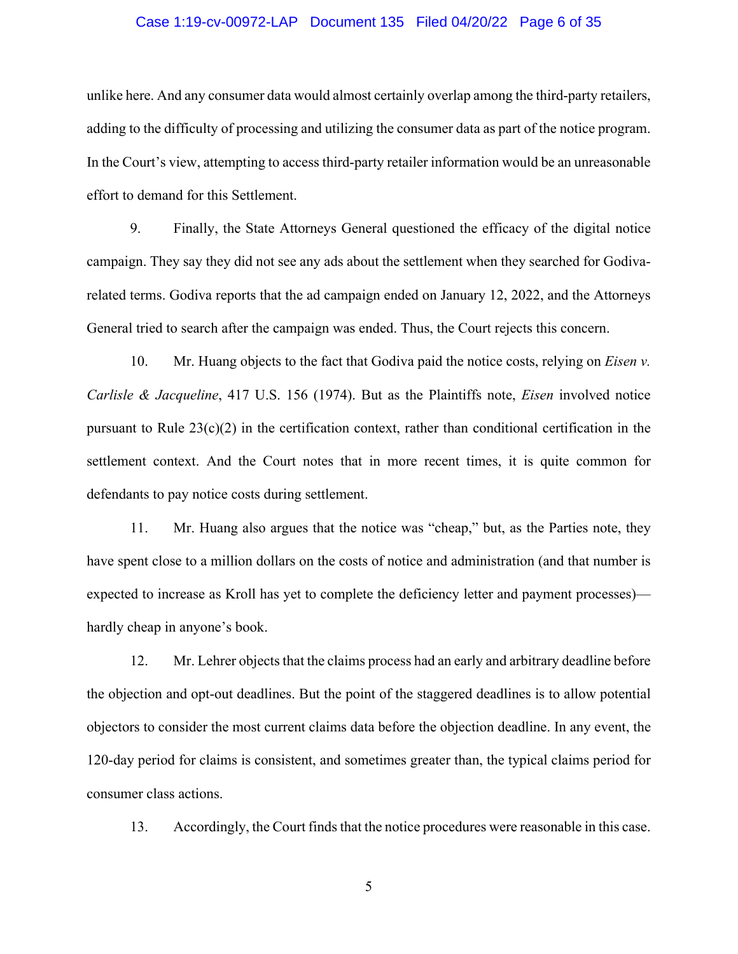## Case 1:19-cv-00972-LAP Document 135 Filed 04/20/22 Page 6 of 35

unlike here. And any consumer data would almost certainly overlap among the third-party retailers, adding to the difficulty of processing and utilizing the consumer data as part of the notice program. In the Court's view, attempting to access third-party retailer information would be an unreasonable effort to demand for this Settlement.

9. Finally, the State Attorneys General questioned the efficacy of the digital notice campaign. They say they did not see any ads about the settlement when they searched for Godivarelated terms. Godiva reports that the ad campaign ended on January 12, 2022, and the Attorneys General tried to search after the campaign was ended. Thus, the Court rejects this concern.

10. Mr. Huang objects to the fact that Godiva paid the notice costs, relying on *Eisen v. Carlisle & Jacqueline*, 417 U.S. 156 (1974). But as the Plaintiffs note, *Eisen* involved notice pursuant to Rule 23(c)(2) in the certification context, rather than conditional certification in the settlement context. And the Court notes that in more recent times, it is quite common for defendants to pay notice costs during settlement.

11. Mr. Huang also argues that the notice was "cheap," but, as the Parties note, they have spent close to a million dollars on the costs of notice and administration (and that number is expected to increase as Kroll has yet to complete the deficiency letter and payment processes) hardly cheap in anyone's book.

12. Mr. Lehrer objects that the claims process had an early and arbitrary deadline before the objection and opt-out deadlines. But the point of the staggered deadlines is to allow potential objectors to consider the most current claims data before the objection deadline. In any event, the 120-day period for claims is consistent, and sometimes greater than, the typical claims period for consumer class actions.

13. Accordingly, the Court finds that the notice procedures were reasonable in this case.

5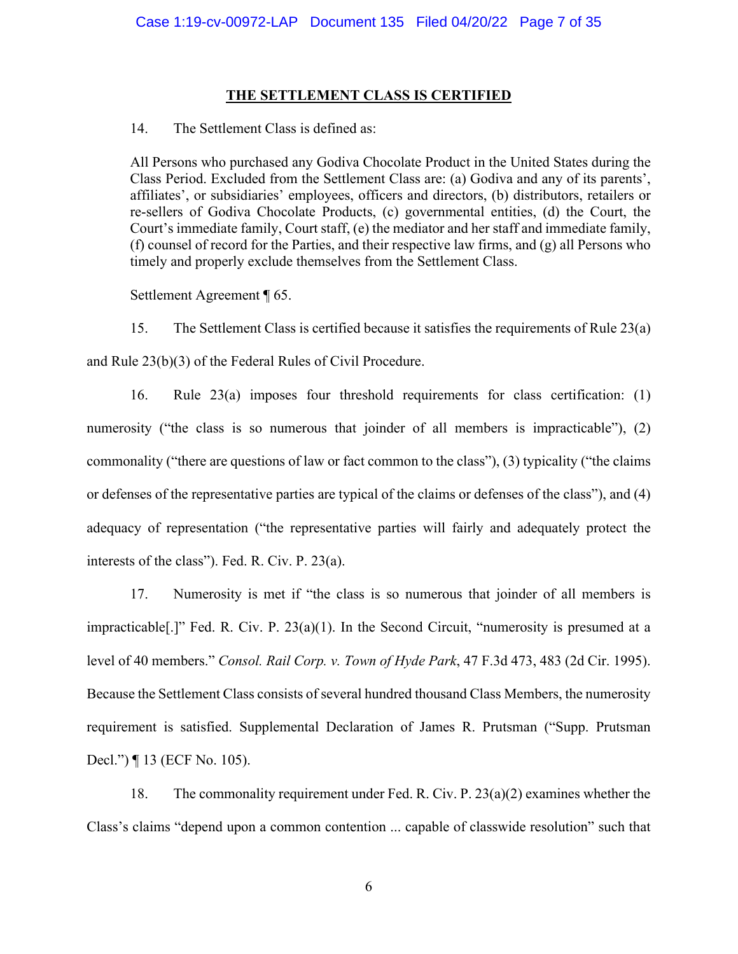## **THE SETTLEMENT CLASS IS CERTIFIED**

14. The Settlement Class is defined as:

All Persons who purchased any Godiva Chocolate Product in the United States during the Class Period. Excluded from the Settlement Class are: (a) Godiva and any of its parents', affiliates', or subsidiaries' employees, officers and directors, (b) distributors, retailers or re-sellers of Godiva Chocolate Products, (c) governmental entities, (d) the Court, the Court's immediate family, Court staff, (e) the mediator and her staff and immediate family, (f) counsel of record for the Parties, and their respective law firms, and (g) all Persons who timely and properly exclude themselves from the Settlement Class.

Settlement Agreement ¶ 65.

15. The Settlement Class is certified because it satisfies the requirements of Rule 23(a) and Rule 23(b)(3) of the Federal Rules of Civil Procedure.

16. Rule 23(a) imposes four threshold requirements for class certification: (1) numerosity ("the class is so numerous that joinder of all members is impracticable"), (2) commonality ("there are questions of law or fact common to the class"), (3) typicality ("the claims or defenses of the representative parties are typical of the claims or defenses of the class"), and (4) adequacy of representation ("the representative parties will fairly and adequately protect the interests of the class"). Fed. R. Civ. P. 23(a).

17. Numerosity is met if "the class is so numerous that joinder of all members is impracticable[.]" Fed. R. Civ. P. 23(a)(1). In the Second Circuit, "numerosity is presumed at a level of 40 members." *Consol. Rail Corp. v. Town of Hyde Park*, 47 F.3d 473, 483 (2d Cir. 1995). Because the Settlement Class consists of several hundred thousand Class Members, the numerosity requirement is satisfied. Supplemental Declaration of James R. Prutsman ("Supp. Prutsman Decl.") ¶ 13 (ECF No. 105).

18. The commonality requirement under Fed. R. Civ. P. 23(a)(2) examines whether the Class's claims "depend upon a common contention ... capable of classwide resolution" such that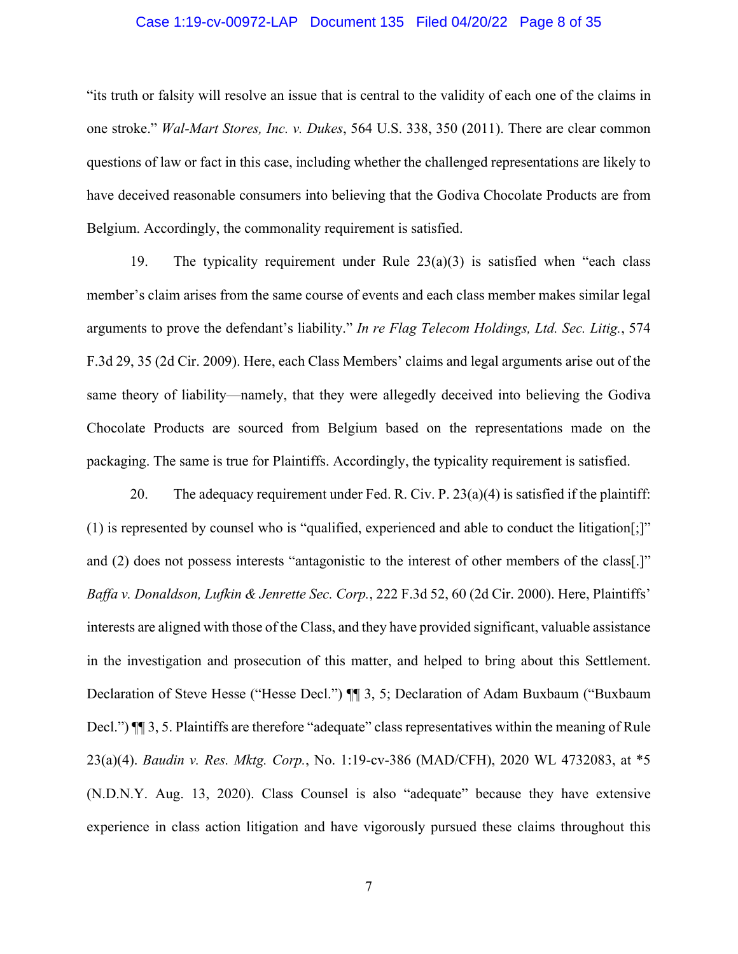## Case 1:19-cv-00972-LAP Document 135 Filed 04/20/22 Page 8 of 35

"its truth or falsity will resolve an issue that is central to the validity of each one of the claims in one stroke." *Wal-Mart Stores, Inc. v. Dukes*, 564 U.S. 338, 350 (2011). There are clear common questions of law or fact in this case, including whether the challenged representations are likely to have deceived reasonable consumers into believing that the Godiva Chocolate Products are from Belgium. Accordingly, the commonality requirement is satisfied.

19. The typicality requirement under Rule 23(a)(3) is satisfied when "each class member's claim arises from the same course of events and each class member makes similar legal arguments to prove the defendant's liability." *In re Flag Telecom Holdings, Ltd. Sec. Litig.*, 574 F.3d 29, 35 (2d Cir. 2009). Here, each Class Members' claims and legal arguments arise out of the same theory of liability—namely, that they were allegedly deceived into believing the Godiva Chocolate Products are sourced from Belgium based on the representations made on the packaging. The same is true for Plaintiffs. Accordingly, the typicality requirement is satisfied.

20. The adequacy requirement under Fed. R. Civ. P. 23(a)(4) is satisfied if the plaintiff: (1) is represented by counsel who is "qualified, experienced and able to conduct the litigation[;]" and (2) does not possess interests "antagonistic to the interest of other members of the class[.]" *Baffa v. Donaldson, Lufkin & Jenrette Sec. Corp.*, 222 F.3d 52, 60 (2d Cir. 2000). Here, Plaintiffs' interests are aligned with those of the Class, and they have provided significant, valuable assistance in the investigation and prosecution of this matter, and helped to bring about this Settlement. Declaration of Steve Hesse ("Hesse Decl.") ¶¶ 3, 5; Declaration of Adam Buxbaum ("Buxbaum Decl.")  $\P$  3, 5. Plaintiffs are therefore "adequate" class representatives within the meaning of Rule 23(a)(4). *Baudin v. Res. Mktg. Corp.*, No. 1:19-cv-386 (MAD/CFH), 2020 WL 4732083, at \*5 (N.D.N.Y. Aug. 13, 2020). Class Counsel is also "adequate" because they have extensive experience in class action litigation and have vigorously pursued these claims throughout this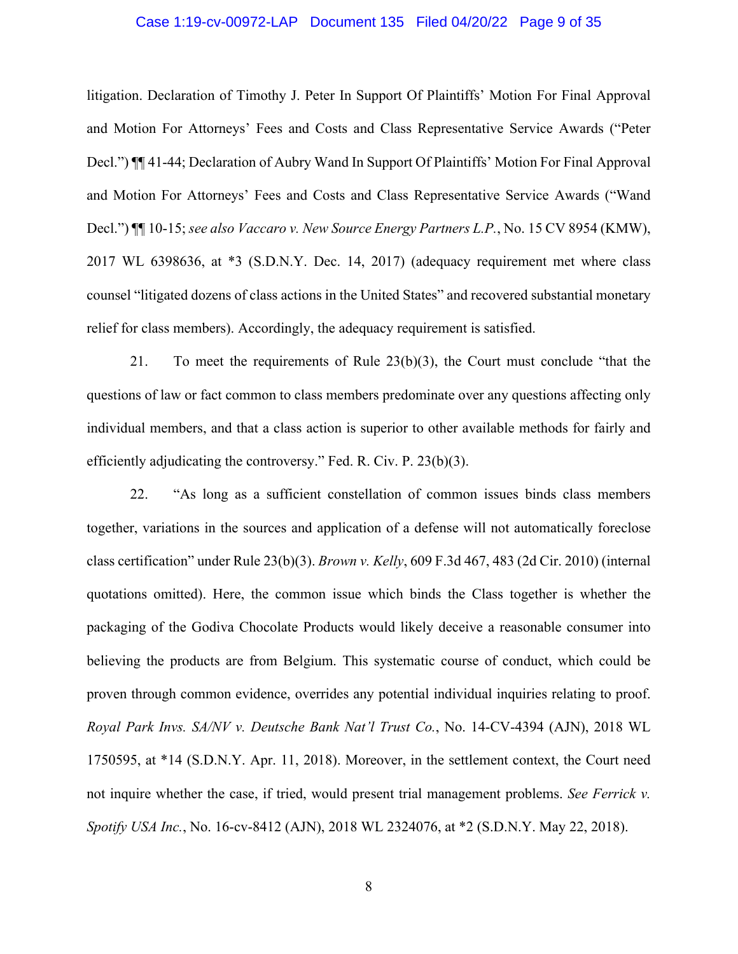## Case 1:19-cv-00972-LAP Document 135 Filed 04/20/22 Page 9 of 35

litigation. Declaration of Timothy J. Peter In Support Of Plaintiffs' Motion For Final Approval and Motion For Attorneys' Fees and Costs and Class Representative Service Awards ("Peter Decl.") ¶¶ 41-44; Declaration of Aubry Wand In Support Of Plaintiffs' Motion For Final Approval and Motion For Attorneys' Fees and Costs and Class Representative Service Awards ("Wand Decl.") ¶¶ 10-15; *see also Vaccaro v. New Source Energy Partners L.P.*, No. 15 CV 8954 (KMW), 2017 WL 6398636, at \*3 (S.D.N.Y. Dec. 14, 2017) (adequacy requirement met where class counsel "litigated dozens of class actions in the United States" and recovered substantial monetary relief for class members). Accordingly, the adequacy requirement is satisfied.

21. To meet the requirements of Rule 23(b)(3), the Court must conclude "that the questions of law or fact common to class members predominate over any questions affecting only individual members, and that a class action is superior to other available methods for fairly and efficiently adjudicating the controversy." Fed. R. Civ. P. 23(b)(3).

22. "As long as a sufficient constellation of common issues binds class members together, variations in the sources and application of a defense will not automatically foreclose class certification" under Rule 23(b)(3). *Brown v. Kelly*, 609 F.3d 467, 483 (2d Cir. 2010) (internal quotations omitted). Here, the common issue which binds the Class together is whether the packaging of the Godiva Chocolate Products would likely deceive a reasonable consumer into believing the products are from Belgium. This systematic course of conduct, which could be proven through common evidence, overrides any potential individual inquiries relating to proof. *Royal Park Invs. SA/NV v. Deutsche Bank Nat'l Trust Co.*, No. 14-CV-4394 (AJN), 2018 WL 1750595, at \*14 (S.D.N.Y. Apr. 11, 2018). Moreover, in the settlement context, the Court need not inquire whether the case, if tried, would present trial management problems. *See Ferrick v. Spotify USA Inc.*, No. 16-cv-8412 (AJN), 2018 WL 2324076, at \*2 (S.D.N.Y. May 22, 2018).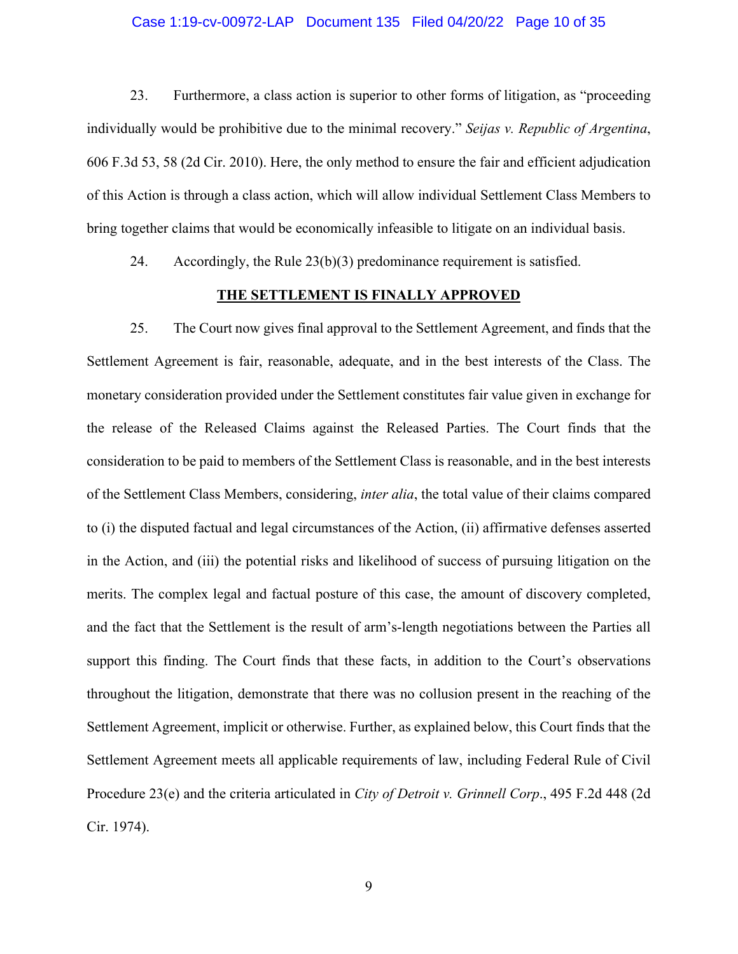## Case 1:19-cv-00972-LAP Document 135 Filed 04/20/22 Page 10 of 35

23. Furthermore, a class action is superior to other forms of litigation, as "proceeding individually would be prohibitive due to the minimal recovery." *Seijas v. Republic of Argentina*, 606 F.3d 53, 58 (2d Cir. 2010). Here, the only method to ensure the fair and efficient adjudication of this Action is through a class action, which will allow individual Settlement Class Members to bring together claims that would be economically infeasible to litigate on an individual basis.

24. Accordingly, the Rule  $23(b)(3)$  predominance requirement is satisfied.

## **THE SETTLEMENT IS FINALLY APPROVED**

25. The Court now gives final approval to the Settlement Agreement, and finds that the Settlement Agreement is fair, reasonable, adequate, and in the best interests of the Class. The monetary consideration provided under the Settlement constitutes fair value given in exchange for the release of the Released Claims against the Released Parties. The Court finds that the consideration to be paid to members of the Settlement Class is reasonable, and in the best interests of the Settlement Class Members, considering, *inter alia*, the total value of their claims compared to (i) the disputed factual and legal circumstances of the Action, (ii) affirmative defenses asserted in the Action, and (iii) the potential risks and likelihood of success of pursuing litigation on the merits. The complex legal and factual posture of this case, the amount of discovery completed, and the fact that the Settlement is the result of arm's-length negotiations between the Parties all support this finding. The Court finds that these facts, in addition to the Court's observations throughout the litigation, demonstrate that there was no collusion present in the reaching of the Settlement Agreement, implicit or otherwise. Further, as explained below, this Court finds that the Settlement Agreement meets all applicable requirements of law, including Federal Rule of Civil Procedure 23(e) and the criteria articulated in *City of Detroit v. Grinnell Corp*., 495 F.2d 448 (2d Cir. 1974).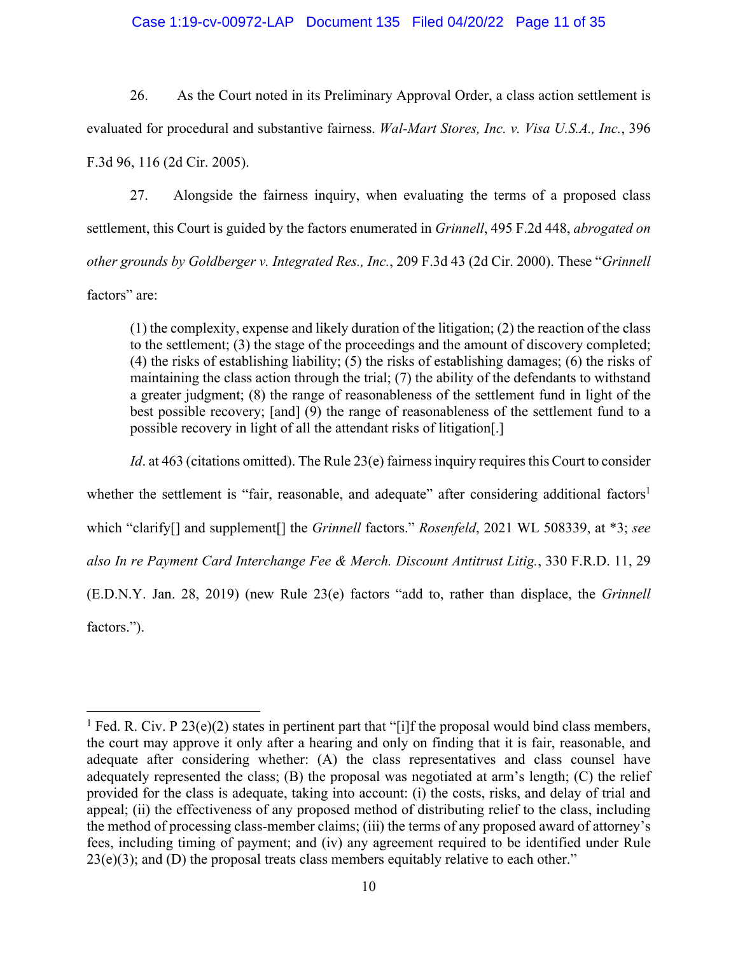## Case 1:19-cv-00972-LAP Document 135 Filed 04/20/22 Page 11 of 35

26. As the Court noted in its Preliminary Approval Order, a class action settlement is evaluated for procedural and substantive fairness. *Wal-Mart Stores, Inc. v. Visa U.S.A., Inc.*, 396 F.3d 96, 116 (2d Cir. 2005).

27. Alongside the fairness inquiry, when evaluating the terms of a proposed class settlement, this Court is guided by the factors enumerated in *Grinnell*, 495 F.2d 448, *abrogated on other grounds by Goldberger v. Integrated Res., Inc.*, 209 F.3d 43 (2d Cir. 2000). These "*Grinnell* factors" are:

(1) the complexity, expense and likely duration of the litigation; (2) the reaction of the class to the settlement; (3) the stage of the proceedings and the amount of discovery completed; (4) the risks of establishing liability; (5) the risks of establishing damages; (6) the risks of maintaining the class action through the trial; (7) the ability of the defendants to withstand a greater judgment; (8) the range of reasonableness of the settlement fund in light of the best possible recovery; [and] (9) the range of reasonableness of the settlement fund to a possible recovery in light of all the attendant risks of litigation[.]

*Id.* at 463 (citations omitted). The Rule 23(e) fairness inquiry requires this Court to consider

whether the settlement is "fair, reasonable, and adequate" after considering additional factors<sup>1</sup>

which "clarify[] and supplement[] the *Grinnell* factors." *Rosenfeld*, 2021 WL 508339, at \*3; *see* 

*also In re Payment Card Interchange Fee & Merch. Discount Antitrust Litig.*, 330 F.R.D. 11, 29

(E.D.N.Y. Jan. 28, 2019) (new Rule 23(e) factors "add to, rather than displace, the *Grinnell* factors.").

<sup>&</sup>lt;sup>1</sup> Fed. R. Civ. P 23(e)(2) states in pertinent part that "[i]f the proposal would bind class members, the court may approve it only after a hearing and only on finding that it is fair, reasonable, and adequate after considering whether: (A) the class representatives and class counsel have adequately represented the class; (B) the proposal was negotiated at arm's length; (C) the relief provided for the class is adequate, taking into account: (i) the costs, risks, and delay of trial and appeal; (ii) the effectiveness of any proposed method of distributing relief to the class, including the method of processing class-member claims; (iii) the terms of any proposed award of attorney's fees, including timing of payment; and (iv) any agreement required to be identified under Rule  $23(e)(3)$ ; and (D) the proposal treats class members equitably relative to each other."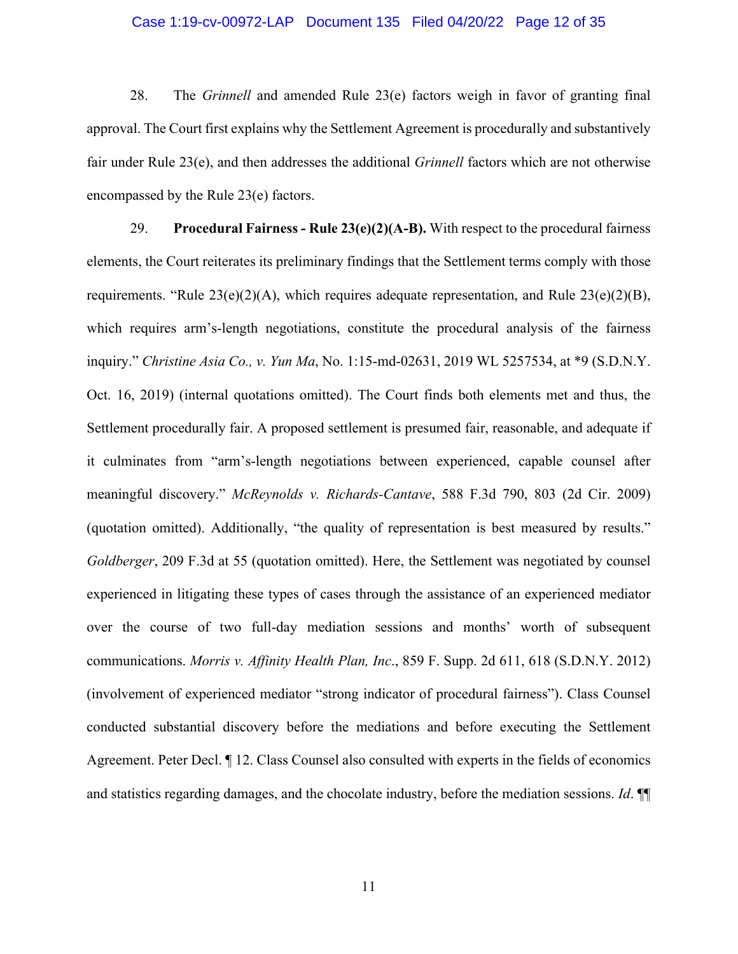## Case 1:19-cv-00972-LAP Document 135 Filed 04/20/22 Page 12 of 35

28. The *Grinnell* and amended Rule 23(e) factors weigh in favor of granting final approval. The Court first explains why the Settlement Agreement is procedurally and substantively fair under Rule 23(e), and then addresses the additional *Grinnell* factors which are not otherwise encompassed by the Rule 23(e) factors.

29. **Procedural Fairness - Rule 23(e)(2)(A-B).** With respect to the procedural fairness elements, the Court reiterates its preliminary findings that the Settlement terms comply with those requirements. "Rule  $23(e)(2)(A)$ , which requires adequate representation, and Rule  $23(e)(2)(B)$ , which requires arm's-length negotiations, constitute the procedural analysis of the fairness inquiry." *Christine Asia Co., v. Yun Ma*, No. 1:15-md-02631, 2019 WL 5257534, at \*9 (S.D.N.Y. Oct. 16, 2019) (internal quotations omitted). The Court finds both elements met and thus, the Settlement procedurally fair. A proposed settlement is presumed fair, reasonable, and adequate if it culminates from "arm's-length negotiations between experienced, capable counsel after meaningful discovery." *McReynolds v. Richards-Cantave*, 588 F.3d 790, 803 (2d Cir. 2009) (quotation omitted). Additionally, "the quality of representation is best measured by results." *Goldberger*, 209 F.3d at 55 (quotation omitted). Here, the Settlement was negotiated by counsel experienced in litigating these types of cases through the assistance of an experienced mediator over the course of two full-day mediation sessions and months' worth of subsequent communications. *Morris v. Affinity Health Plan, Inc*., 859 F. Supp. 2d 611, 618 (S.D.N.Y. 2012) (involvement of experienced mediator "strong indicator of procedural fairness"). Class Counsel conducted substantial discovery before the mediations and before executing the Settlement Agreement. Peter Decl. ¶ 12. Class Counsel also consulted with experts in the fields of economics and statistics regarding damages, and the chocolate industry, before the mediation sessions. *Id*. ¶¶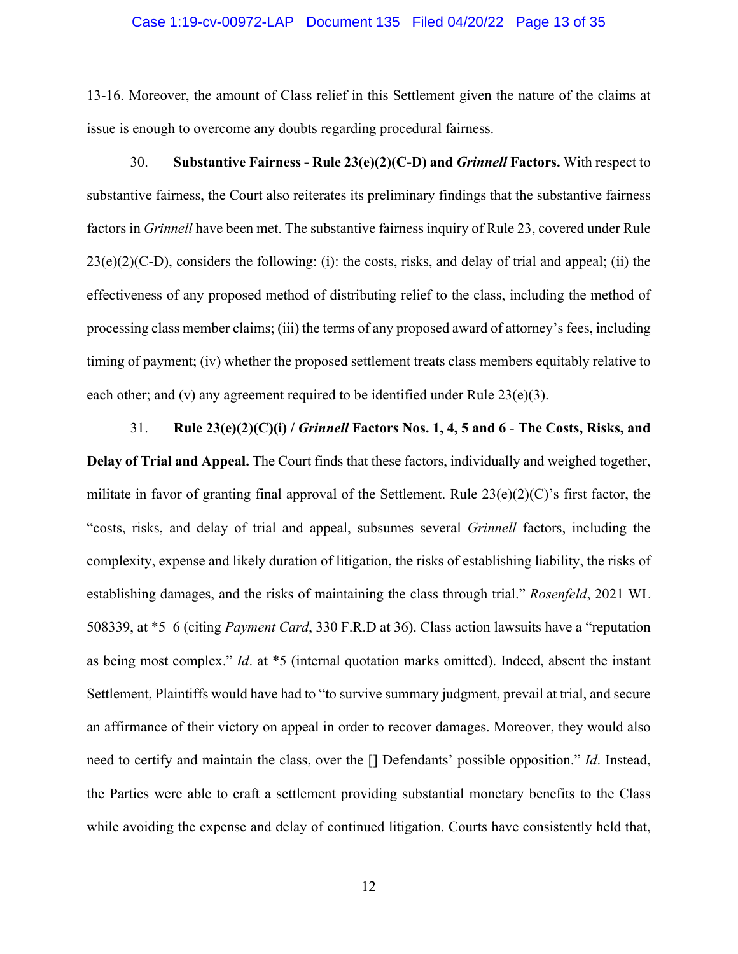#### Case 1:19-cv-00972-LAP Document 135 Filed 04/20/22 Page 13 of 35

13-16. Moreover, the amount of Class relief in this Settlement given the nature of the claims at issue is enough to overcome any doubts regarding procedural fairness.

30. **Substantive Fairness - Rule 23(e)(2)(C-D) and** *Grinnell* **Factors.** With respect to substantive fairness, the Court also reiterates its preliminary findings that the substantive fairness factors in *Grinnell* have been met. The substantive fairness inquiry of Rule 23, covered under Rule  $23(e)(2)(C-D)$ , considers the following: (i): the costs, risks, and delay of trial and appeal; (ii) the effectiveness of any proposed method of distributing relief to the class, including the method of processing class member claims; (iii) the terms of any proposed award of attorney's fees, including timing of payment; (iv) whether the proposed settlement treats class members equitably relative to each other; and (v) any agreement required to be identified under Rule 23(e)(3).

31. **Rule 23(e)(2)(C)(i) /** *Grinnell* **Factors Nos. 1, 4, 5 and 6** - **The Costs, Risks, and Delay of Trial and Appeal.** The Court finds that these factors, individually and weighed together, militate in favor of granting final approval of the Settlement. Rule  $23(e)(2)(C)$ 's first factor, the "costs, risks, and delay of trial and appeal, subsumes several *Grinnell* factors, including the complexity, expense and likely duration of litigation, the risks of establishing liability, the risks of establishing damages, and the risks of maintaining the class through trial." *Rosenfeld*, 2021 WL 508339, at \*5–6 (citing *Payment Card*, 330 F.R.D at 36). Class action lawsuits have a "reputation as being most complex." *Id*. at \*5 (internal quotation marks omitted). Indeed, absent the instant Settlement, Plaintiffs would have had to "to survive summary judgment, prevail at trial, and secure an affirmance of their victory on appeal in order to recover damages. Moreover, they would also need to certify and maintain the class, over the [] Defendants' possible opposition." *Id*. Instead, the Parties were able to craft a settlement providing substantial monetary benefits to the Class while avoiding the expense and delay of continued litigation. Courts have consistently held that,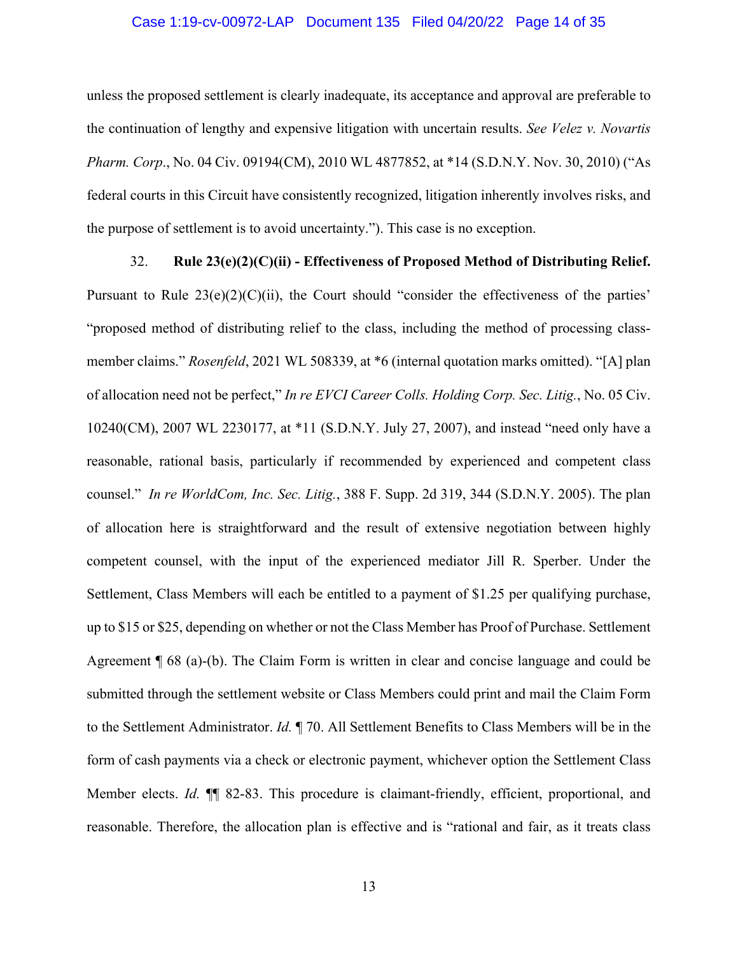## Case 1:19-cv-00972-LAP Document 135 Filed 04/20/22 Page 14 of 35

unless the proposed settlement is clearly inadequate, its acceptance and approval are preferable to the continuation of lengthy and expensive litigation with uncertain results. *See Velez v. Novartis Pharm. Corp*., No. 04 Civ. 09194(CM), 2010 WL 4877852, at \*14 (S.D.N.Y. Nov. 30, 2010) ("As federal courts in this Circuit have consistently recognized, litigation inherently involves risks, and the purpose of settlement is to avoid uncertainty."). This case is no exception.

# 32. **Rule 23(e)(2)(C)(ii) - Effectiveness of Proposed Method of Distributing Relief.** Pursuant to Rule  $23(e)(2)(C)(ii)$ , the Court should "consider the effectiveness of the parties" "proposed method of distributing relief to the class, including the method of processing classmember claims." *Rosenfeld*, 2021 WL 508339, at \*6 (internal quotation marks omitted). "[A] plan of allocation need not be perfect," *In re EVCI Career Colls. Holding Corp. Sec. Litig.*, No. 05 Civ. 10240(CM), 2007 WL 2230177, at \*11 (S.D.N.Y. July 27, 2007), and instead "need only have a reasonable, rational basis, particularly if recommended by experienced and competent class counsel." *In re WorldCom, Inc. Sec. Litig.*, 388 F. Supp. 2d 319, 344 (S.D.N.Y. 2005). The plan of allocation here is straightforward and the result of extensive negotiation between highly competent counsel, with the input of the experienced mediator Jill R. Sperber. Under the Settlement, Class Members will each be entitled to a payment of \$1.25 per qualifying purchase, up to \$15 or \$25, depending on whether or not the Class Member has Proof of Purchase. Settlement Agreement ¶ 68 (a)-(b). The Claim Form is written in clear and concise language and could be submitted through the settlement website or Class Members could print and mail the Claim Form to the Settlement Administrator. *Id.* ¶ 70. All Settlement Benefits to Class Members will be in the form of cash payments via a check or electronic payment, whichever option the Settlement Class Member elects. *Id.* ¶¶ 82-83. This procedure is claimant-friendly, efficient, proportional, and reasonable. Therefore, the allocation plan is effective and is "rational and fair, as it treats class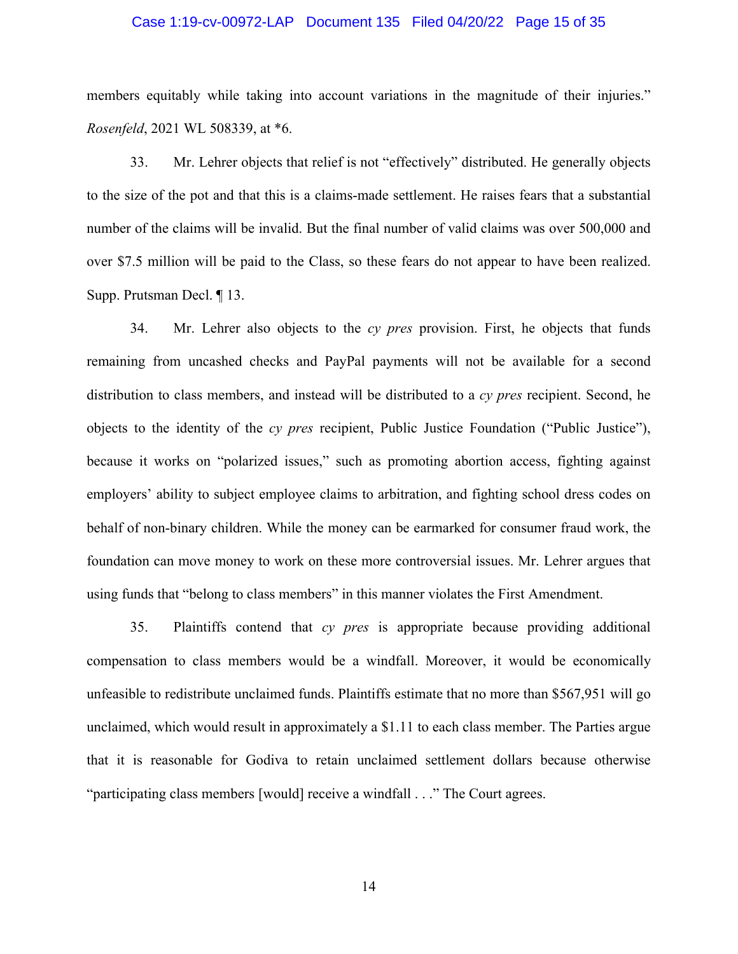## Case 1:19-cv-00972-LAP Document 135 Filed 04/20/22 Page 15 of 35

members equitably while taking into account variations in the magnitude of their injuries." *Rosenfeld*, 2021 WL 508339, at \*6.

33. Mr. Lehrer objects that relief is not "effectively" distributed. He generally objects to the size of the pot and that this is a claims-made settlement. He raises fears that a substantial number of the claims will be invalid. But the final number of valid claims was over 500,000 and over \$7.5 million will be paid to the Class, so these fears do not appear to have been realized. Supp. Prutsman Decl. ¶ 13.

34. Mr. Lehrer also objects to the *cy pres* provision. First, he objects that funds remaining from uncashed checks and PayPal payments will not be available for a second distribution to class members, and instead will be distributed to a *cy pres* recipient. Second, he objects to the identity of the *cy pres* recipient, Public Justice Foundation ("Public Justice"), because it works on "polarized issues," such as promoting abortion access, fighting against employers' ability to subject employee claims to arbitration, and fighting school dress codes on behalf of non-binary children. While the money can be earmarked for consumer fraud work, the foundation can move money to work on these more controversial issues. Mr. Lehrer argues that using funds that "belong to class members" in this manner violates the First Amendment.

35. Plaintiffs contend that *cy pres* is appropriate because providing additional compensation to class members would be a windfall. Moreover, it would be economically unfeasible to redistribute unclaimed funds. Plaintiffs estimate that no more than \$567,951 will go unclaimed, which would result in approximately a \$1.11 to each class member. The Parties argue that it is reasonable for Godiva to retain unclaimed settlement dollars because otherwise "participating class members [would] receive a windfall . . ." The Court agrees.

14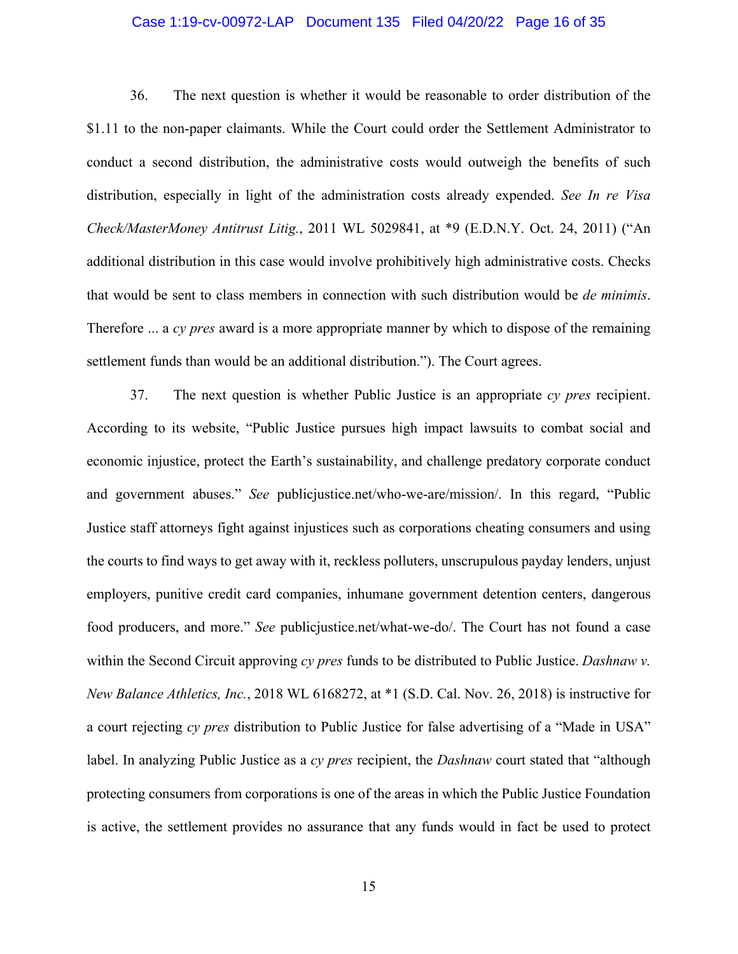## Case 1:19-cv-00972-LAP Document 135 Filed 04/20/22 Page 16 of 35

36. The next question is whether it would be reasonable to order distribution of the \$1.11 to the non-paper claimants. While the Court could order the Settlement Administrator to conduct a second distribution, the administrative costs would outweigh the benefits of such distribution, especially in light of the administration costs already expended. *See In re Visa Check/MasterMoney Antitrust Litig.*, 2011 WL 5029841, at \*9 (E.D.N.Y. Oct. 24, 2011) ("An additional distribution in this case would involve prohibitively high administrative costs. Checks that would be sent to class members in connection with such distribution would be *de minimis*. Therefore ... a *cy pres* award is a more appropriate manner by which to dispose of the remaining settlement funds than would be an additional distribution."). The Court agrees.

37. The next question is whether Public Justice is an appropriate *cy pres* recipient. According to its website, "Public Justice pursues high impact lawsuits to combat social and economic injustice, protect the Earth's sustainability, and challenge predatory corporate conduct and government abuses." *See* publicjustice.net/who-we-are/mission/. In this regard, "Public Justice staff attorneys fight against injustices such as corporations cheating consumers and using the courts to find ways to get away with it, reckless polluters, unscrupulous payday lenders, unjust employers, punitive credit card companies, inhumane government detention centers, dangerous food producers, and more." *See* publicjustice.net/what-we-do/. The Court has not found a case within the Second Circuit approving *cy pres* funds to be distributed to Public Justice. *Dashnaw v. New Balance Athletics, Inc.*, 2018 WL 6168272, at \*1 (S.D. Cal. Nov. 26, 2018) is instructive for a court rejecting *cy pres* distribution to Public Justice for false advertising of a "Made in USA" label. In analyzing Public Justice as a *cy pres* recipient, the *Dashnaw* court stated that "although protecting consumers from corporations is one of the areas in which the Public Justice Foundation is active, the settlement provides no assurance that any funds would in fact be used to protect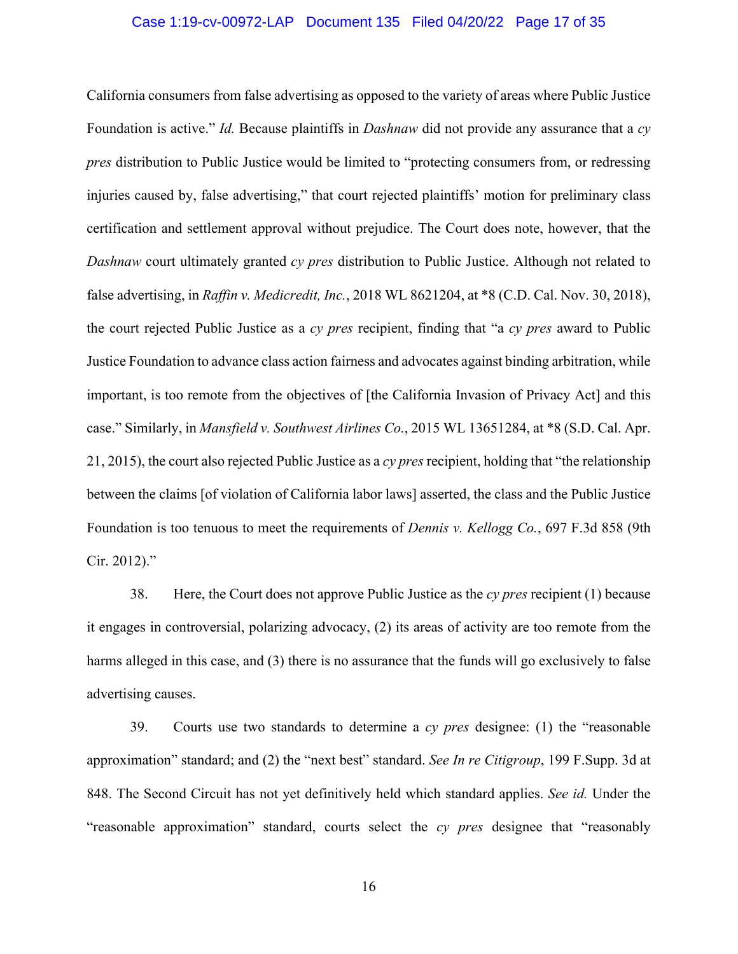#### Case 1:19-cv-00972-LAP Document 135 Filed 04/20/22 Page 17 of 35

California consumers from false advertising as opposed to the variety of areas where Public Justice Foundation is active." *Id.* Because plaintiffs in *Dashnaw* did not provide any assurance that a *cy pres* distribution to Public Justice would be limited to "protecting consumers from, or redressing injuries caused by, false advertising," that court rejected plaintiffs' motion for preliminary class certification and settlement approval without prejudice. The Court does note, however, that the *Dashnaw* court ultimately granted *cy pres* distribution to Public Justice. Although not related to false advertising, in *Raffin v. Medicredit, Inc.*, 2018 WL 8621204, at \*8 (C.D. Cal. Nov. 30, 2018), the court rejected Public Justice as a *cy pres* recipient, finding that "a *cy pres* award to Public Justice Foundation to advance class action fairness and advocates against binding arbitration, while important, is too remote from the objectives of [the California Invasion of Privacy Act] and this case." Similarly, in *Mansfield v. Southwest Airlines Co.*, 2015 WL 13651284, at \*8 (S.D. Cal. Apr. 21, 2015), the court also rejected Public Justice as a *cy pres* recipient, holding that "the relationship between the claims [of violation of California labor laws] asserted, the class and the Public Justice Foundation is too tenuous to meet the requirements of *Dennis v. Kellogg Co.*, 697 F.3d 858 (9th Cir. 2012)."

38. Here, the Court does not approve Public Justice as the *cy pres* recipient (1) because it engages in controversial, polarizing advocacy, (2) its areas of activity are too remote from the harms alleged in this case, and (3) there is no assurance that the funds will go exclusively to false advertising causes.

39. Courts use two standards to determine a *cy pres* designee: (1) the "reasonable approximation" standard; and (2) the "next best" standard. *See In re Citigroup*, 199 F.Supp. 3d at 848. The Second Circuit has not yet definitively held which standard applies. *See id.* Under the "reasonable approximation" standard, courts select the *cy pres* designee that "reasonably

16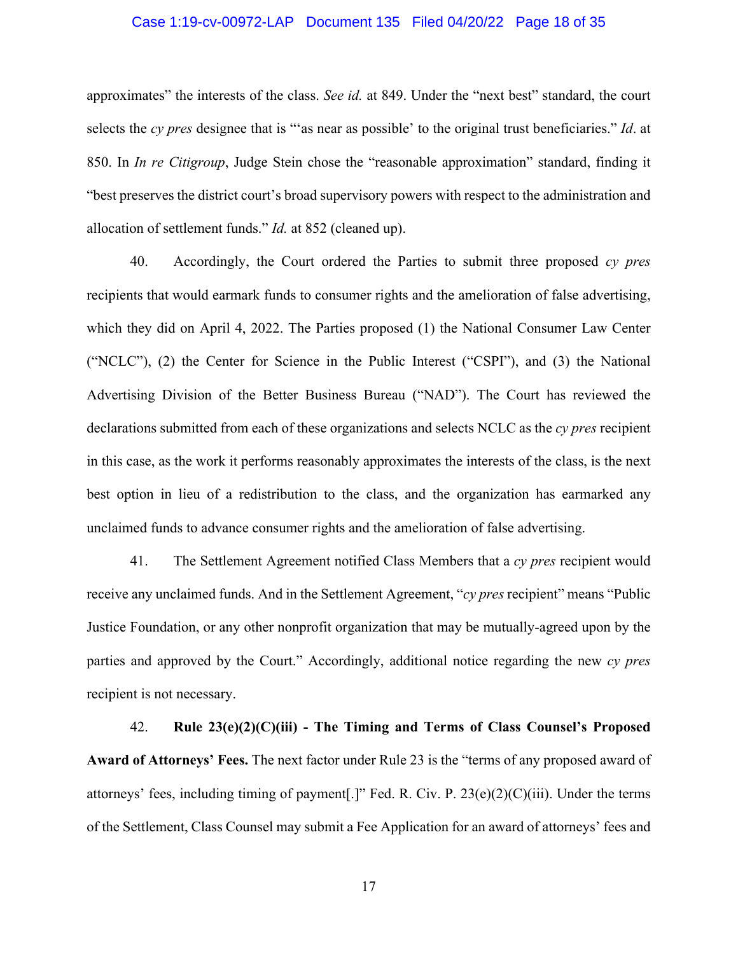## Case 1:19-cv-00972-LAP Document 135 Filed 04/20/22 Page 18 of 35

approximates" the interests of the class. *See id.* at 849. Under the "next best" standard, the court selects the *cy pres* designee that is "'as near as possible' to the original trust beneficiaries." *Id*. at 850. In *In re Citigroup*, Judge Stein chose the "reasonable approximation" standard, finding it "best preserves the district court's broad supervisory powers with respect to the administration and allocation of settlement funds." *Id.* at 852 (cleaned up).

40. Accordingly, the Court ordered the Parties to submit three proposed *cy pres* recipients that would earmark funds to consumer rights and the amelioration of false advertising, which they did on April 4, 2022. The Parties proposed (1) the National Consumer Law Center ("NCLC"), (2) the Center for Science in the Public Interest ("CSPI"), and (3) the National Advertising Division of the Better Business Bureau ("NAD"). The Court has reviewed the declarations submitted from each of these organizations and selects NCLC as the *cy pres* recipient in this case, as the work it performs reasonably approximates the interests of the class, is the next best option in lieu of a redistribution to the class, and the organization has earmarked any unclaimed funds to advance consumer rights and the amelioration of false advertising.

41. The Settlement Agreement notified Class Members that a *cy pres* recipient would receive any unclaimed funds. And in the Settlement Agreement, "*cy pres* recipient" means "Public Justice Foundation, or any other nonprofit organization that may be mutually-agreed upon by the parties and approved by the Court." Accordingly, additional notice regarding the new *cy pres* recipient is not necessary.

42. **Rule 23(e)(2)(C)(iii) - The Timing and Terms of Class Counsel's Proposed Award of Attorneys' Fees.** The next factor under Rule 23 is the "terms of any proposed award of attorneys' fees, including timing of payment[.]" Fed. R. Civ. P. 23(e)(2)(C)(iii). Under the terms of the Settlement, Class Counsel may submit a Fee Application for an award of attorneys' fees and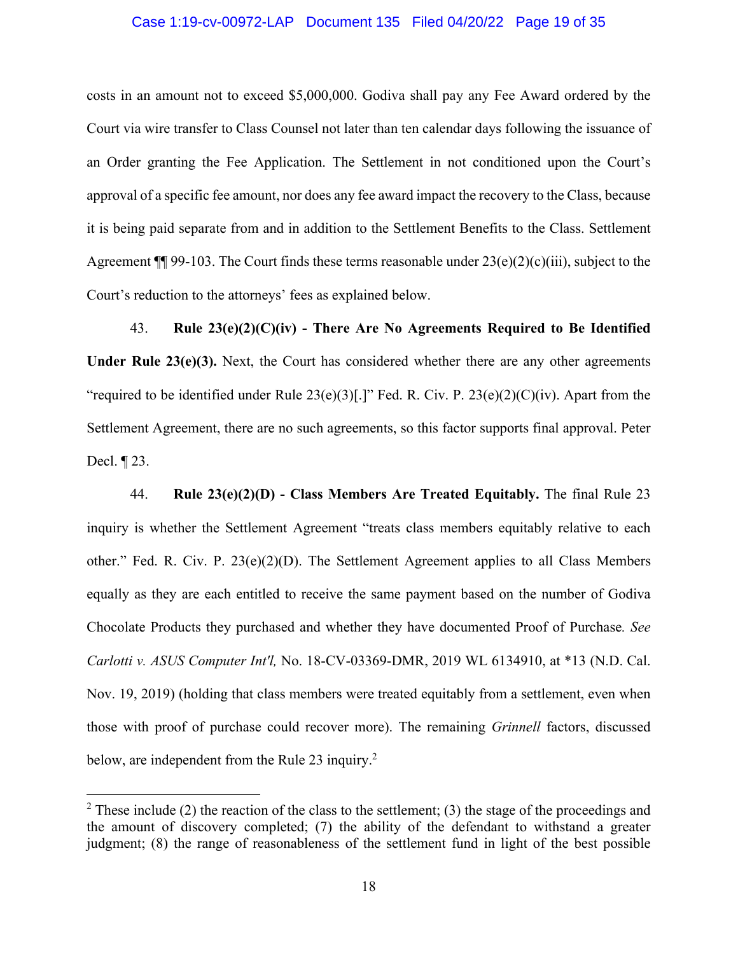## Case 1:19-cv-00972-LAP Document 135 Filed 04/20/22 Page 19 of 35

costs in an amount not to exceed \$5,000,000. Godiva shall pay any Fee Award ordered by the Court via wire transfer to Class Counsel not later than ten calendar days following the issuance of an Order granting the Fee Application. The Settlement in not conditioned upon the Court's approval of a specific fee amount, nor does any fee award impact the recovery to the Class, because it is being paid separate from and in addition to the Settlement Benefits to the Class. Settlement Agreement  $\P$  99-103. The Court finds these terms reasonable under  $23(e)(2)(c)(iii)$ , subject to the Court's reduction to the attorneys' fees as explained below.

43. **Rule 23(e)(2)(C)(iv) - There Are No Agreements Required to Be Identified**  Under Rule 23(e)(3). Next, the Court has considered whether there are any other agreements "required to be identified under Rule  $23(e)(3)[.]$ " Fed. R. Civ. P.  $23(e)(2)(C)(iv)$ . Apart from the Settlement Agreement, there are no such agreements, so this factor supports final approval. Peter Decl. ¶ 23.

44. **Rule 23(e)(2)(D) - Class Members Are Treated Equitably.** The final Rule 23 inquiry is whether the Settlement Agreement "treats class members equitably relative to each other." Fed. R. Civ. P. 23(e)(2)(D). The Settlement Agreement applies to all Class Members equally as they are each entitled to receive the same payment based on the number of Godiva Chocolate Products they purchased and whether they have documented Proof of Purchase*. See Carlotti v. ASUS Computer Int'l,* No. 18-CV-03369-DMR, 2019 WL 6134910, at \*13 (N.D. Cal. Nov. 19, 2019) (holding that class members were treated equitably from a settlement, even when those with proof of purchase could recover more). The remaining *Grinnell* factors, discussed below, are independent from the Rule 23 inquiry. $2^2$ 

<sup>&</sup>lt;sup>2</sup> These include (2) the reaction of the class to the settlement; (3) the stage of the proceedings and the amount of discovery completed; (7) the ability of the defendant to withstand a greater judgment; (8) the range of reasonableness of the settlement fund in light of the best possible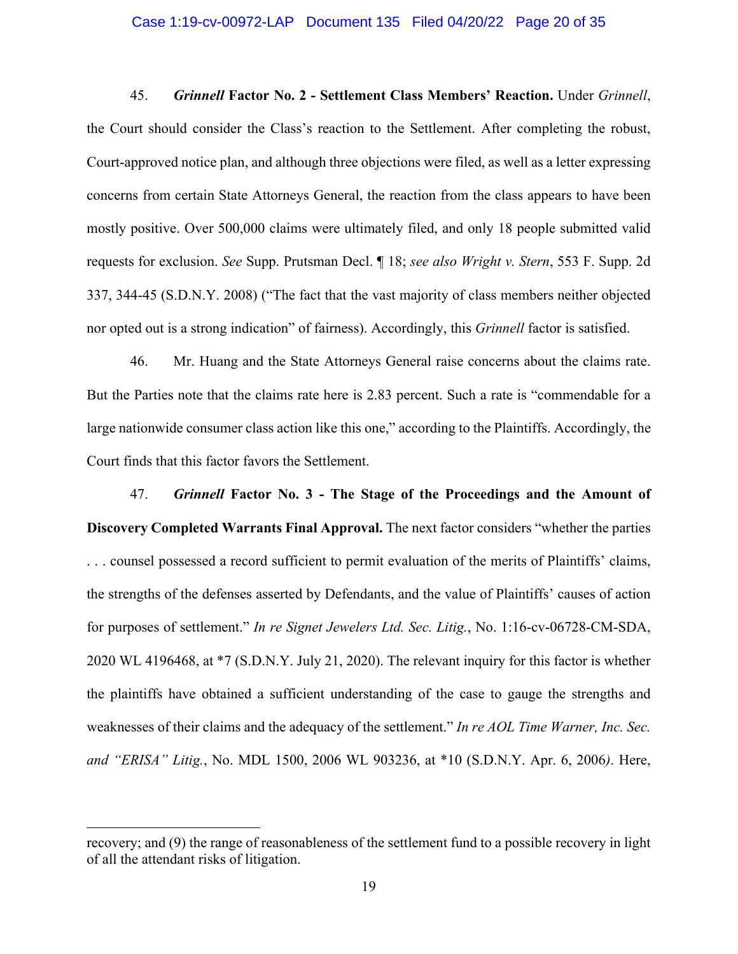#### Case 1:19-cv-00972-LAP Document 135 Filed 04/20/22 Page 20 of 35

45. *Grinnell* **Factor No. 2 - Settlement Class Members' Reaction.** Under *Grinnell*, the Court should consider the Class's reaction to the Settlement. After completing the robust, Court-approved notice plan, and although three objections were filed, as well as a letter expressing concerns from certain State Attorneys General, the reaction from the class appears to have been mostly positive. Over 500,000 claims were ultimately filed, and only 18 people submitted valid requests for exclusion. *See* Supp. Prutsman Decl. ¶ 18; *see also Wright v. Stern*, 553 F. Supp. 2d 337, 344-45 (S.D.N.Y. 2008) ("The fact that the vast majority of class members neither objected nor opted out is a strong indication" of fairness). Accordingly, this *Grinnell* factor is satisfied.

46. Mr. Huang and the State Attorneys General raise concerns about the claims rate. But the Parties note that the claims rate here is 2.83 percent. Such a rate is "commendable for a large nationwide consumer class action like this one," according to the Plaintiffs. Accordingly, the Court finds that this factor favors the Settlement.

47. *Grinnell* **Factor No. 3 - The Stage of the Proceedings and the Amount of Discovery Completed Warrants Final Approval.** The next factor considers "whether the parties . . . counsel possessed a record sufficient to permit evaluation of the merits of Plaintiffs' claims, the strengths of the defenses asserted by Defendants, and the value of Plaintiffs' causes of action for purposes of settlement." *In re Signet Jewelers Ltd. Sec. Litig.*, No. 1:16-cv-06728-CM-SDA, 2020 WL 4196468, at \*7 (S.D.N.Y. July 21, 2020). The relevant inquiry for this factor is whether the plaintiffs have obtained a sufficient understanding of the case to gauge the strengths and weaknesses of their claims and the adequacy of the settlement." *In re AOL Time Warner, Inc. Sec. and "ERISA" Litig.*, No. MDL 1500, 2006 WL 903236, at \*10 (S.D.N.Y. Apr. 6, 2006*)*. Here,

recovery; and (9) the range of reasonableness of the settlement fund to a possible recovery in light of all the attendant risks of litigation.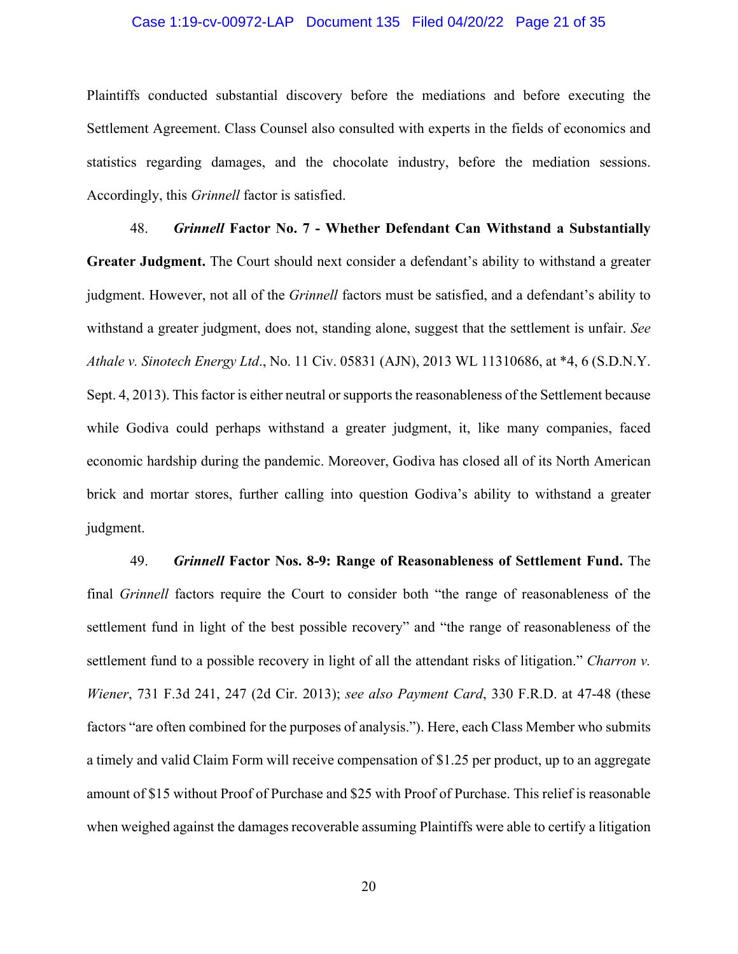## Case 1:19-cv-00972-LAP Document 135 Filed 04/20/22 Page 21 of 35

Plaintiffs conducted substantial discovery before the mediations and before executing the Settlement Agreement. Class Counsel also consulted with experts in the fields of economics and statistics regarding damages, and the chocolate industry, before the mediation sessions. Accordingly, this *Grinnell* factor is satisfied.

48. *Grinnell* **Factor No. 7 - Whether Defendant Can Withstand a Substantially Greater Judgment.** The Court should next consider a defendant's ability to withstand a greater judgment. However, not all of the *Grinnell* factors must be satisfied, and a defendant's ability to withstand a greater judgment, does not, standing alone, suggest that the settlement is unfair. *See Athale v. Sinotech Energy Ltd*., No. 11 Civ. 05831 (AJN), 2013 WL 11310686, at \*4, 6 (S.D.N.Y. Sept. 4, 2013). This factor is either neutral or supports the reasonableness of the Settlement because while Godiva could perhaps withstand a greater judgment, it, like many companies, faced economic hardship during the pandemic. Moreover, Godiva has closed all of its North American brick and mortar stores, further calling into question Godiva's ability to withstand a greater judgment.

49. *Grinnell* **Factor Nos. 8-9: Range of Reasonableness of Settlement Fund.** The final *Grinnell* factors require the Court to consider both "the range of reasonableness of the settlement fund in light of the best possible recovery" and "the range of reasonableness of the settlement fund to a possible recovery in light of all the attendant risks of litigation." *Charron v. Wiener*, 731 F.3d 241, 247 (2d Cir. 2013); *see also Payment Card*, 330 F.R.D. at 47-48 (these factors "are often combined for the purposes of analysis."). Here, each Class Member who submits a timely and valid Claim Form will receive compensation of \$1.25 per product, up to an aggregate amount of \$15 without Proof of Purchase and \$25 with Proof of Purchase. This relief is reasonable when weighed against the damages recoverable assuming Plaintiffs were able to certify a litigation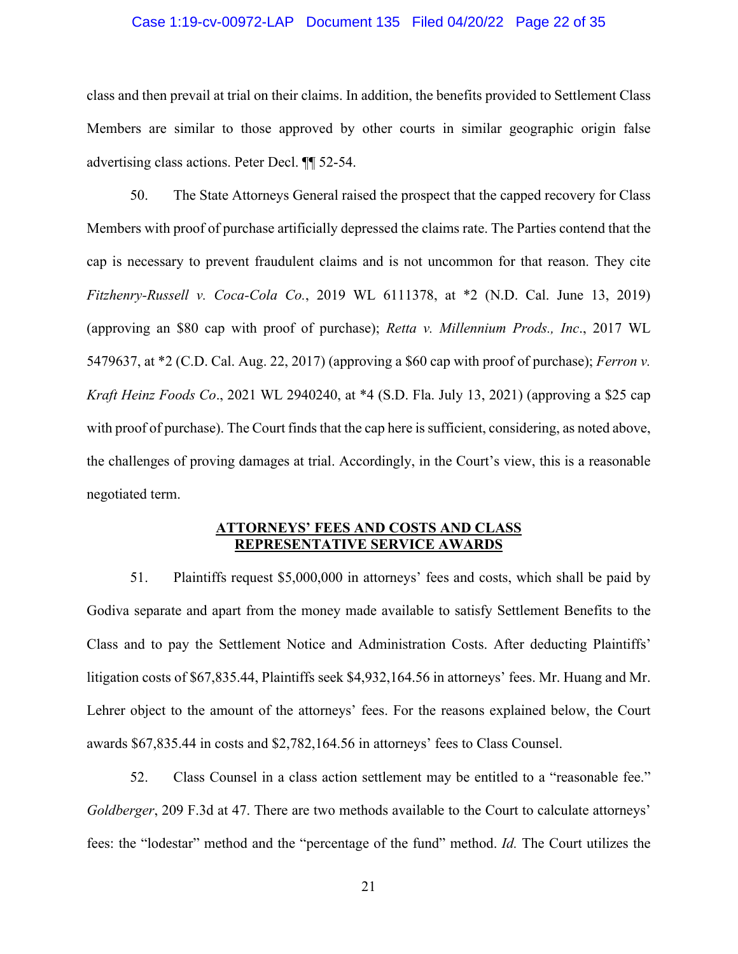# Case 1:19-cv-00972-LAP Document 135 Filed 04/20/22 Page 22 of 35

class and then prevail at trial on their claims. In addition, the benefits provided to Settlement Class Members are similar to those approved by other courts in similar geographic origin false advertising class actions. Peter Decl. ¶¶ 52-54.

50. The State Attorneys General raised the prospect that the capped recovery for Class Members with proof of purchase artificially depressed the claims rate. The Parties contend that the cap is necessary to prevent fraudulent claims and is not uncommon for that reason. They cite *Fitzhenry-Russell v. Coca-Cola Co.*, 2019 WL 6111378, at \*2 (N.D. Cal. June 13, 2019) (approving an \$80 cap with proof of purchase); *Retta v. Millennium Prods., Inc*., 2017 WL 5479637, at \*2 (C.D. Cal. Aug. 22, 2017) (approving a \$60 cap with proof of purchase); *Ferron v. Kraft Heinz Foods Co*., 2021 WL 2940240, at \*4 (S.D. Fla. July 13, 2021) (approving a \$25 cap with proof of purchase). The Court finds that the cap here is sufficient, considering, as noted above, the challenges of proving damages at trial. Accordingly, in the Court's view, this is a reasonable negotiated term.

## **ATTORNEYS' FEES AND COSTS AND CLASS REPRESENTATIVE SERVICE AWARDS**

51. Plaintiffs request \$5,000,000 in attorneys' fees and costs, which shall be paid by Godiva separate and apart from the money made available to satisfy Settlement Benefits to the Class and to pay the Settlement Notice and Administration Costs. After deducting Plaintiffs' litigation costs of \$67,835.44, Plaintiffs seek \$4,932,164.56 in attorneys' fees. Mr. Huang and Mr. Lehrer object to the amount of the attorneys' fees. For the reasons explained below, the Court awards \$67,835.44 in costs and \$2,782,164.56 in attorneys' fees to Class Counsel.

52. Class Counsel in a class action settlement may be entitled to a "reasonable fee." *Goldberger*, 209 F.3d at 47. There are two methods available to the Court to calculate attorneys' fees: the "lodestar" method and the "percentage of the fund" method. *Id.* The Court utilizes the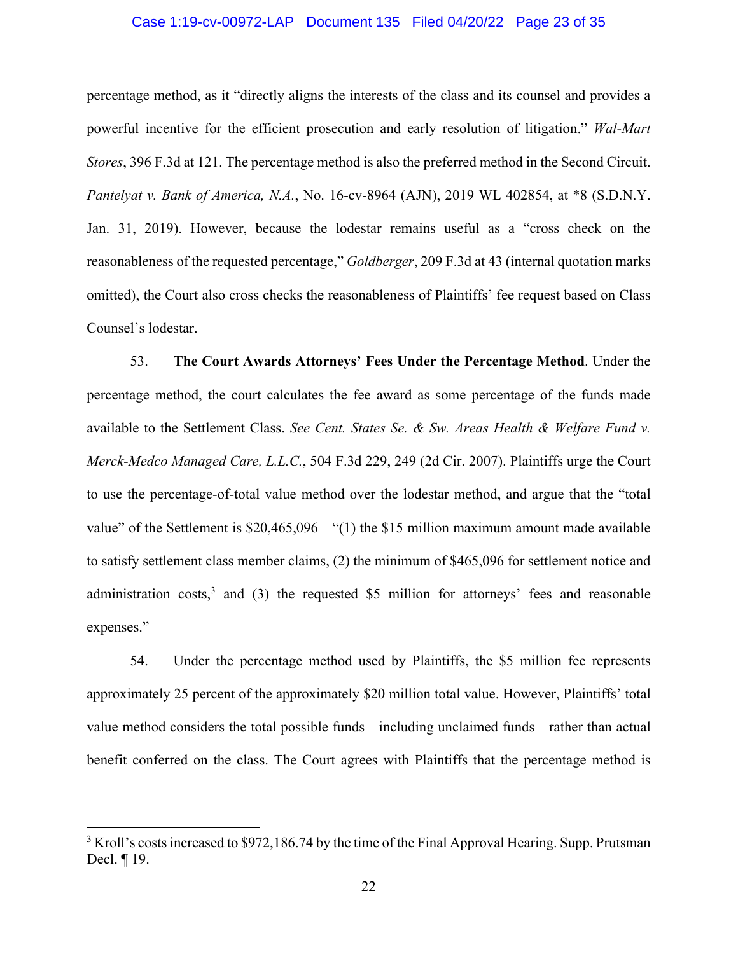## Case 1:19-cv-00972-LAP Document 135 Filed 04/20/22 Page 23 of 35

percentage method, as it "directly aligns the interests of the class and its counsel and provides a powerful incentive for the efficient prosecution and early resolution of litigation." *Wal-Mart Stores*, 396 F.3d at 121. The percentage method is also the preferred method in the Second Circuit. *Pantelyat v. Bank of America, N.A.*, No. 16-cv-8964 (AJN), 2019 WL 402854, at \*8 (S.D.N.Y. Jan. 31, 2019). However, because the lodestar remains useful as a "cross check on the reasonableness of the requested percentage," *Goldberger*, 209 F.3d at 43 (internal quotation marks omitted), the Court also cross checks the reasonableness of Plaintiffs' fee request based on Class Counsel's lodestar.

53. **The Court Awards Attorneys' Fees Under the Percentage Method**. Under the percentage method, the court calculates the fee award as some percentage of the funds made available to the Settlement Class. *See Cent. States Se. & Sw. Areas Health & Welfare Fund v. Merck-Medco Managed Care, L.L.C.*, 504 F.3d 229, 249 (2d Cir. 2007). Plaintiffs urge the Court to use the percentage-of-total value method over the lodestar method, and argue that the "total value" of the Settlement is \$20,465,096—"(1) the \$15 million maximum amount made available to satisfy settlement class member claims, (2) the minimum of \$465,096 for settlement notice and administration costs,<sup>3</sup> and (3) the requested \$5 million for attorneys' fees and reasonable expenses."

54. Under the percentage method used by Plaintiffs, the \$5 million fee represents approximately 25 percent of the approximately \$20 million total value. However, Plaintiffs' total value method considers the total possible funds—including unclaimed funds—rather than actual benefit conferred on the class. The Court agrees with Plaintiffs that the percentage method is

 $3$  Kroll's costs increased to \$972,186.74 by the time of the Final Approval Hearing. Supp. Prutsman Decl. ¶ 19.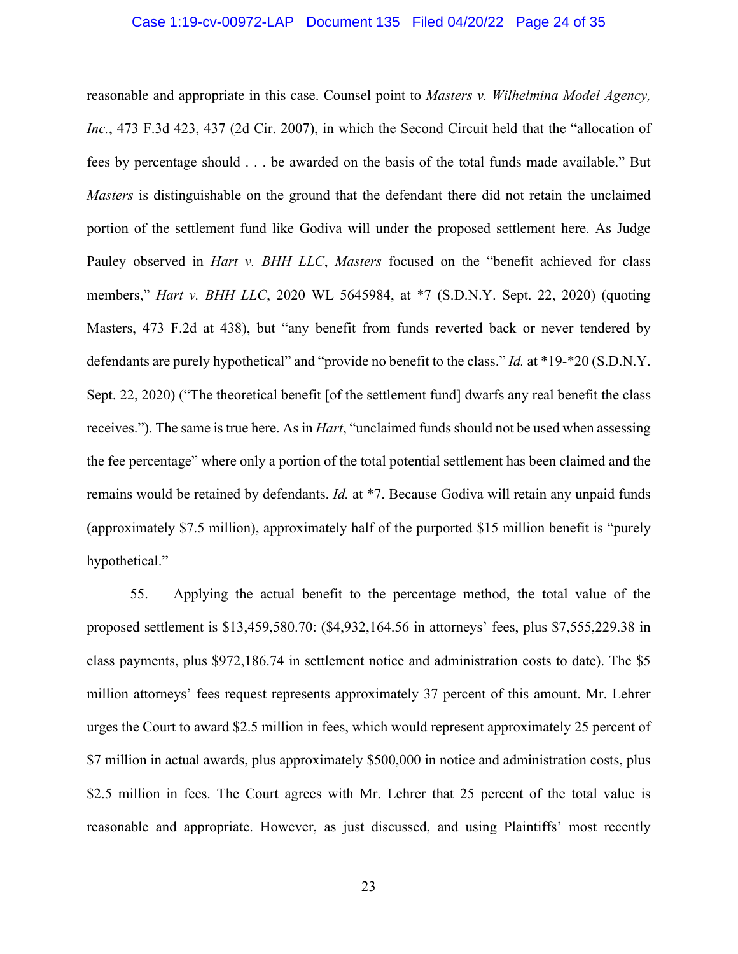## Case 1:19-cv-00972-LAP Document 135 Filed 04/20/22 Page 24 of 35

reasonable and appropriate in this case. Counsel point to *Masters v. Wilhelmina Model Agency, Inc.*, 473 F.3d 423, 437 (2d Cir. 2007), in which the Second Circuit held that the "allocation of fees by percentage should . . . be awarded on the basis of the total funds made available." But *Masters* is distinguishable on the ground that the defendant there did not retain the unclaimed portion of the settlement fund like Godiva will under the proposed settlement here. As Judge Pauley observed in *Hart v. BHH LLC*, *Masters* focused on the "benefit achieved for class members," *Hart v. BHH LLC*, 2020 WL 5645984, at \*7 (S.D.N.Y. Sept. 22, 2020) (quoting Masters, 473 F.2d at 438), but "any benefit from funds reverted back or never tendered by defendants are purely hypothetical" and "provide no benefit to the class." *Id.* at \*19-\*20 (S.D.N.Y. Sept. 22, 2020) ("The theoretical benefit [of the settlement fund] dwarfs any real benefit the class receives."). The same is true here. As in *Hart*, "unclaimed funds should not be used when assessing the fee percentage" where only a portion of the total potential settlement has been claimed and the remains would be retained by defendants. *Id.* at \*7. Because Godiva will retain any unpaid funds (approximately \$7.5 million), approximately half of the purported \$15 million benefit is "purely hypothetical."

55. Applying the actual benefit to the percentage method, the total value of the proposed settlement is \$13,459,580.70: (\$4,932,164.56 in attorneys' fees, plus \$7,555,229.38 in class payments, plus \$972,186.74 in settlement notice and administration costs to date). The \$5 million attorneys' fees request represents approximately 37 percent of this amount. Mr. Lehrer urges the Court to award \$2.5 million in fees, which would represent approximately 25 percent of \$7 million in actual awards, plus approximately \$500,000 in notice and administration costs, plus \$2.5 million in fees. The Court agrees with Mr. Lehrer that 25 percent of the total value is reasonable and appropriate. However, as just discussed, and using Plaintiffs' most recently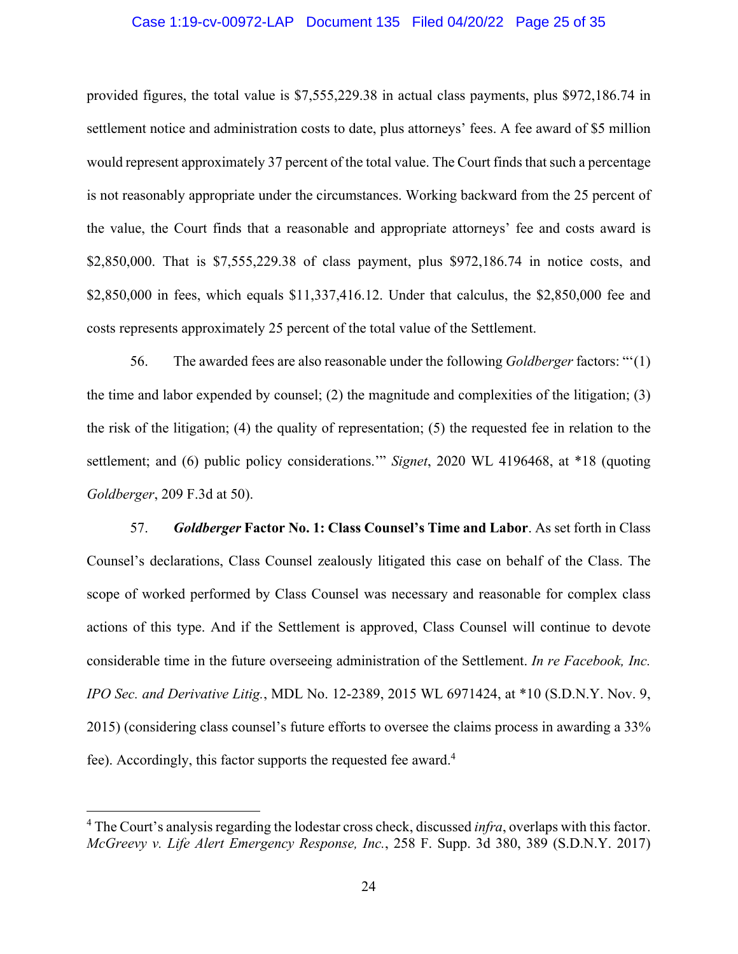#### Case 1:19-cv-00972-LAP Document 135 Filed 04/20/22 Page 25 of 35

provided figures, the total value is \$7,555,229.38 in actual class payments, plus \$972,186.74 in settlement notice and administration costs to date, plus attorneys' fees. A fee award of \$5 million would represent approximately 37 percent of the total value. The Court finds that such a percentage is not reasonably appropriate under the circumstances. Working backward from the 25 percent of the value, the Court finds that a reasonable and appropriate attorneys' fee and costs award is \$2,850,000. That is \$7,555,229.38 of class payment, plus \$972,186.74 in notice costs, and \$2,850,000 in fees, which equals \$11,337,416.12. Under that calculus, the \$2,850,000 fee and costs represents approximately 25 percent of the total value of the Settlement.

56. The awarded fees are also reasonable under the following *Goldberger* factors: "'(1) the time and labor expended by counsel; (2) the magnitude and complexities of the litigation; (3) the risk of the litigation; (4) the quality of representation; (5) the requested fee in relation to the settlement; and (6) public policy considerations.'" *Signet*, 2020 WL 4196468, at \*18 (quoting *Goldberger*, 209 F.3d at 50).

57. *Goldberger* **Factor No. 1: Class Counsel's Time and Labor**. As set forth in Class Counsel's declarations, Class Counsel zealously litigated this case on behalf of the Class. The scope of worked performed by Class Counsel was necessary and reasonable for complex class actions of this type. And if the Settlement is approved, Class Counsel will continue to devote considerable time in the future overseeing administration of the Settlement. *In re Facebook, Inc. IPO Sec. and Derivative Litig.*, MDL No. 12-2389, 2015 WL 6971424, at \*10 (S.D.N.Y. Nov. 9, 2015) (considering class counsel's future efforts to oversee the claims process in awarding a 33% fee). Accordingly, this factor supports the requested fee award.<sup>4</sup>

<sup>&</sup>lt;sup>4</sup> The Court's analysis regarding the lodestar cross check, discussed *infra*, overlaps with this factor. *McGreevy v. Life Alert Emergency Response, Inc.*, 258 F. Supp. 3d 380, 389 (S.D.N.Y. 2017)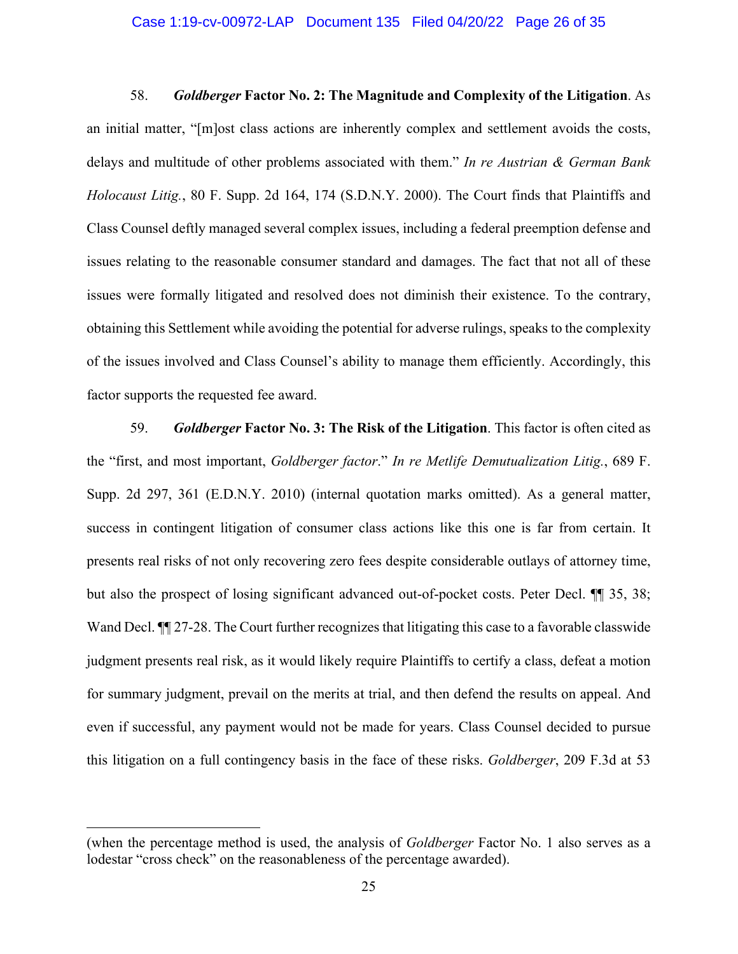#### Case 1:19-cv-00972-LAP Document 135 Filed 04/20/22 Page 26 of 35

58. *Goldberger* **Factor No. 2: The Magnitude and Complexity of the Litigation**. As an initial matter, "[m]ost class actions are inherently complex and settlement avoids the costs, delays and multitude of other problems associated with them." *In re Austrian & German Bank Holocaust Litig.*, 80 F. Supp. 2d 164, 174 (S.D.N.Y. 2000). The Court finds that Plaintiffs and Class Counsel deftly managed several complex issues, including a federal preemption defense and issues relating to the reasonable consumer standard and damages. The fact that not all of these issues were formally litigated and resolved does not diminish their existence. To the contrary, obtaining this Settlement while avoiding the potential for adverse rulings, speaks to the complexity of the issues involved and Class Counsel's ability to manage them efficiently. Accordingly, this factor supports the requested fee award.

59. *Goldberger* **Factor No. 3: The Risk of the Litigation**. This factor is often cited as the "first, and most important, *Goldberger factor*." *In re Metlife Demutualization Litig.*, 689 F. Supp. 2d 297, 361 (E.D.N.Y. 2010) (internal quotation marks omitted). As a general matter, success in contingent litigation of consumer class actions like this one is far from certain. It presents real risks of not only recovering zero fees despite considerable outlays of attorney time, but also the prospect of losing significant advanced out-of-pocket costs. Peter Decl. ¶¶ 35, 38; Wand Decl.  $\P$  27-28. The Court further recognizes that litigating this case to a favorable classwide judgment presents real risk, as it would likely require Plaintiffs to certify a class, defeat a motion for summary judgment, prevail on the merits at trial, and then defend the results on appeal. And even if successful, any payment would not be made for years. Class Counsel decided to pursue this litigation on a full contingency basis in the face of these risks. *Goldberger*, 209 F.3d at 53

<sup>(</sup>when the percentage method is used, the analysis of *Goldberger* Factor No. 1 also serves as a lodestar "cross check" on the reasonableness of the percentage awarded).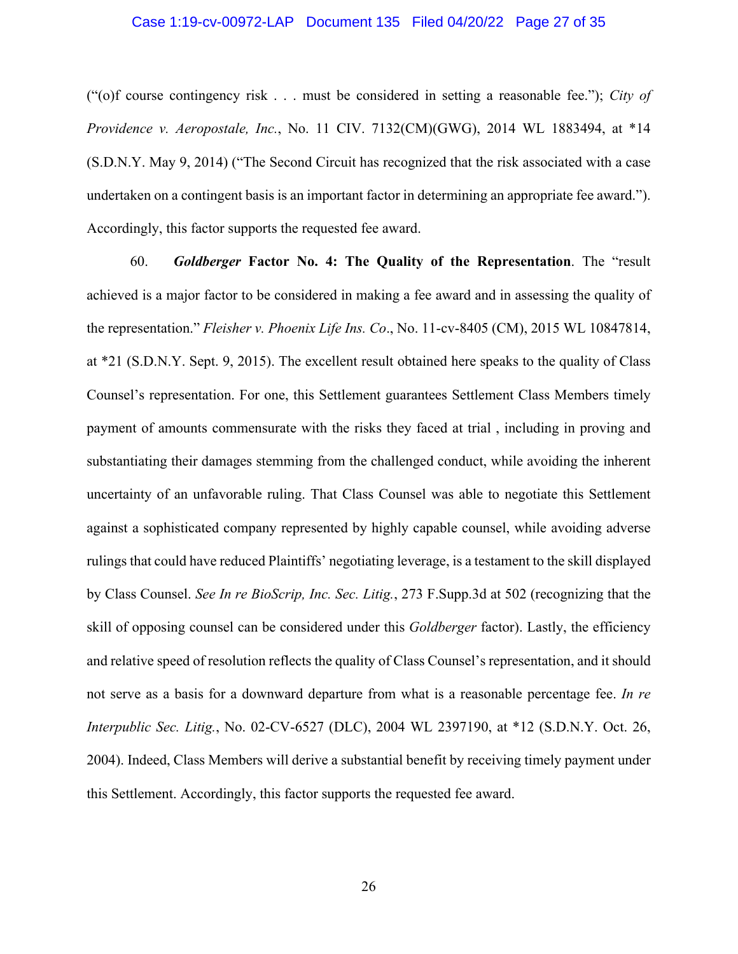## Case 1:19-cv-00972-LAP Document 135 Filed 04/20/22 Page 27 of 35

("(o)f course contingency risk . . . must be considered in setting a reasonable fee."); *City of Providence v. Aeropostale, Inc.*, No. 11 CIV. 7132(CM)(GWG), 2014 WL 1883494, at \*14 (S.D.N.Y. May 9, 2014) ("The Second Circuit has recognized that the risk associated with a case undertaken on a contingent basis is an important factor in determining an appropriate fee award."). Accordingly, this factor supports the requested fee award.

60. *Goldberger* **Factor No. 4: The Quality of the Representation**. The "result achieved is a major factor to be considered in making a fee award and in assessing the quality of the representation." *Fleisher v. Phoenix Life Ins. Co*., No. 11-cv-8405 (CM), 2015 WL 10847814, at \*21 (S.D.N.Y. Sept. 9, 2015). The excellent result obtained here speaks to the quality of Class Counsel's representation. For one, this Settlement guarantees Settlement Class Members timely payment of amounts commensurate with the risks they faced at trial , including in proving and substantiating their damages stemming from the challenged conduct, while avoiding the inherent uncertainty of an unfavorable ruling. That Class Counsel was able to negotiate this Settlement against a sophisticated company represented by highly capable counsel, while avoiding adverse rulings that could have reduced Plaintiffs' negotiating leverage, is a testament to the skill displayed by Class Counsel. *See In re BioScrip, Inc. Sec. Litig.*, 273 F.Supp.3d at 502 (recognizing that the skill of opposing counsel can be considered under this *Goldberger* factor). Lastly, the efficiency and relative speed of resolution reflects the quality of Class Counsel's representation, and it should not serve as a basis for a downward departure from what is a reasonable percentage fee. *In re Interpublic Sec. Litig.*, No. 02-CV-6527 (DLC), 2004 WL 2397190, at \*12 (S.D.N.Y. Oct. 26, 2004). Indeed, Class Members will derive a substantial benefit by receiving timely payment under this Settlement. Accordingly, this factor supports the requested fee award.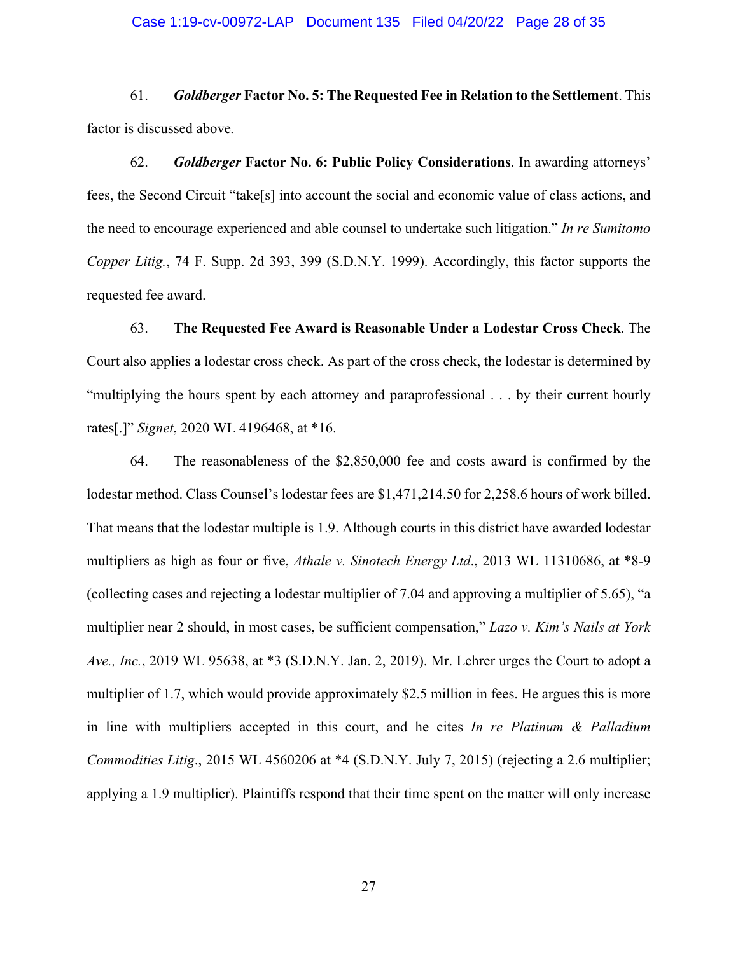#### Case 1:19-cv-00972-LAP Document 135 Filed 04/20/22 Page 28 of 35

61. *Goldberger* **Factor No. 5: The Requested Fee in Relation to the Settlement**. This factor is discussed above*.*

62. *Goldberger* **Factor No. 6: Public Policy Considerations**. In awarding attorneys' fees, the Second Circuit "take[s] into account the social and economic value of class actions, and the need to encourage experienced and able counsel to undertake such litigation." *In re Sumitomo Copper Litig.*, 74 F. Supp. 2d 393, 399 (S.D.N.Y. 1999). Accordingly, this factor supports the requested fee award.

63. **The Requested Fee Award is Reasonable Under a Lodestar Cross Check**. The Court also applies a lodestar cross check. As part of the cross check, the lodestar is determined by "multiplying the hours spent by each attorney and paraprofessional . . . by their current hourly rates[.]" *Signet*, 2020 WL 4196468, at \*16.

64. The reasonableness of the \$2,850,000 fee and costs award is confirmed by the lodestar method. Class Counsel's lodestar fees are \$1,471,214.50 for 2,258.6 hours of work billed. That means that the lodestar multiple is 1.9. Although courts in this district have awarded lodestar multipliers as high as four or five, *Athale v. Sinotech Energy Ltd*., 2013 WL 11310686, at \*8-9 (collecting cases and rejecting a lodestar multiplier of 7.04 and approving a multiplier of 5.65), "a multiplier near 2 should, in most cases, be sufficient compensation," *Lazo v. Kim's Nails at York Ave., Inc.*, 2019 WL 95638, at \*3 (S.D.N.Y. Jan. 2, 2019). Mr. Lehrer urges the Court to adopt a multiplier of 1.7, which would provide approximately \$2.5 million in fees. He argues this is more in line with multipliers accepted in this court, and he cites *In re Platinum & Palladium Commodities Litig*., 2015 WL 4560206 at \*4 (S.D.N.Y. July 7, 2015) (rejecting a 2.6 multiplier; applying a 1.9 multiplier). Plaintiffs respond that their time spent on the matter will only increase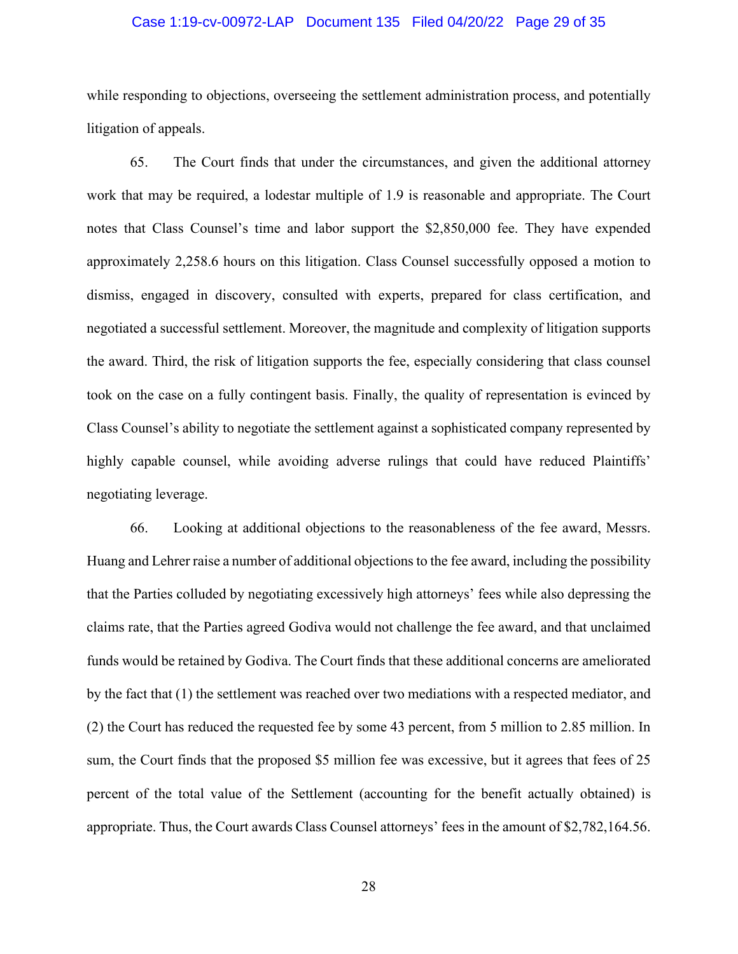## Case 1:19-cv-00972-LAP Document 135 Filed 04/20/22 Page 29 of 35

while responding to objections, overseeing the settlement administration process, and potentially litigation of appeals.

65. The Court finds that under the circumstances, and given the additional attorney work that may be required, a lodestar multiple of 1.9 is reasonable and appropriate. The Court notes that Class Counsel's time and labor support the \$2,850,000 fee. They have expended approximately 2,258.6 hours on this litigation. Class Counsel successfully opposed a motion to dismiss, engaged in discovery, consulted with experts, prepared for class certification, and negotiated a successful settlement. Moreover, the magnitude and complexity of litigation supports the award. Third, the risk of litigation supports the fee, especially considering that class counsel took on the case on a fully contingent basis. Finally, the quality of representation is evinced by Class Counsel's ability to negotiate the settlement against a sophisticated company represented by highly capable counsel, while avoiding adverse rulings that could have reduced Plaintiffs' negotiating leverage.

66. Looking at additional objections to the reasonableness of the fee award, Messrs. Huang and Lehrer raise a number of additional objections to the fee award, including the possibility that the Parties colluded by negotiating excessively high attorneys' fees while also depressing the claims rate, that the Parties agreed Godiva would not challenge the fee award, and that unclaimed funds would be retained by Godiva. The Court finds that these additional concerns are ameliorated by the fact that (1) the settlement was reached over two mediations with a respected mediator, and (2) the Court has reduced the requested fee by some 43 percent, from 5 million to 2.85 million. In sum, the Court finds that the proposed \$5 million fee was excessive, but it agrees that fees of 25 percent of the total value of the Settlement (accounting for the benefit actually obtained) is appropriate. Thus, the Court awards Class Counsel attorneys' fees in the amount of \$2,782,164.56.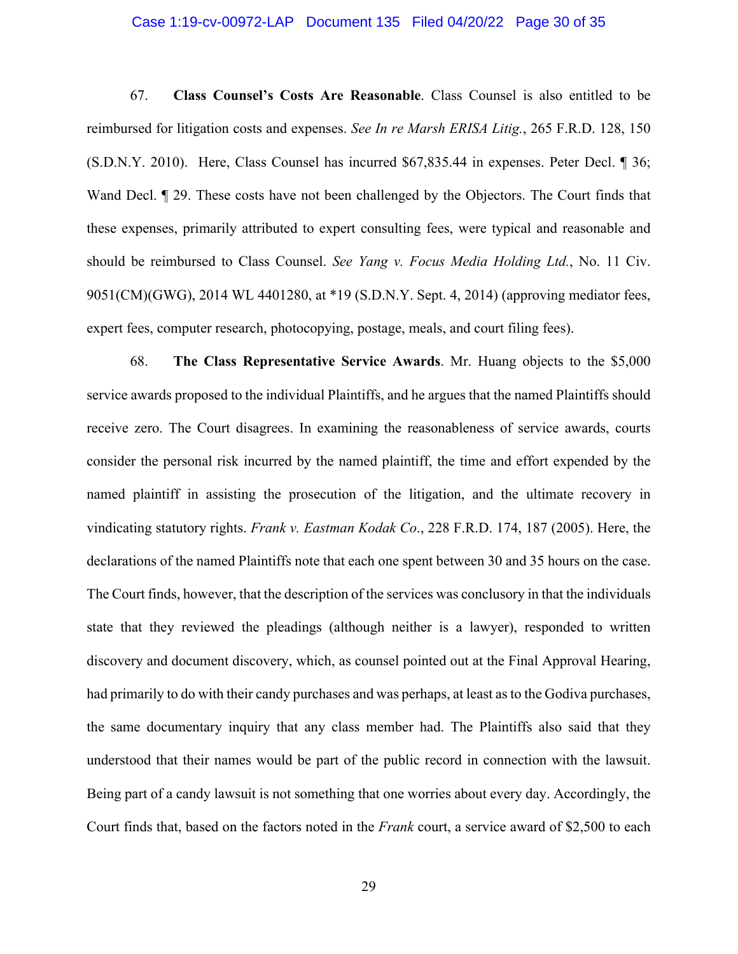## Case 1:19-cv-00972-LAP Document 135 Filed 04/20/22 Page 30 of 35

67. **Class Counsel's Costs Are Reasonable**. Class Counsel is also entitled to be reimbursed for litigation costs and expenses. *See In re Marsh ERISA Litig.*, 265 F.R.D. 128, 150 (S.D.N.Y. 2010). Here, Class Counsel has incurred \$67,835.44 in expenses. Peter Decl. ¶ 36; Wand Decl.  $\parallel$  29. These costs have not been challenged by the Objectors. The Court finds that these expenses, primarily attributed to expert consulting fees, were typical and reasonable and should be reimbursed to Class Counsel. *See Yang v. Focus Media Holding Ltd.*, No. 11 Civ. 9051(CM)(GWG), 2014 WL 4401280, at \*19 (S.D.N.Y. Sept. 4, 2014) (approving mediator fees, expert fees, computer research, photocopying, postage, meals, and court filing fees).

68. **The Class Representative Service Awards**. Mr. Huang objects to the \$5,000 service awards proposed to the individual Plaintiffs, and he argues that the named Plaintiffs should receive zero. The Court disagrees. In examining the reasonableness of service awards, courts consider the personal risk incurred by the named plaintiff, the time and effort expended by the named plaintiff in assisting the prosecution of the litigation, and the ultimate recovery in vindicating statutory rights. *Frank v. Eastman Kodak Co*., 228 F.R.D. 174, 187 (2005). Here, the declarations of the named Plaintiffs note that each one spent between 30 and 35 hours on the case. The Court finds, however, that the description of the services was conclusory in that the individuals state that they reviewed the pleadings (although neither is a lawyer), responded to written discovery and document discovery, which, as counsel pointed out at the Final Approval Hearing, had primarily to do with their candy purchases and was perhaps, at least as to the Godiva purchases, the same documentary inquiry that any class member had. The Plaintiffs also said that they understood that their names would be part of the public record in connection with the lawsuit. Being part of a candy lawsuit is not something that one worries about every day. Accordingly, the Court finds that, based on the factors noted in the *Frank* court, a service award of \$2,500 to each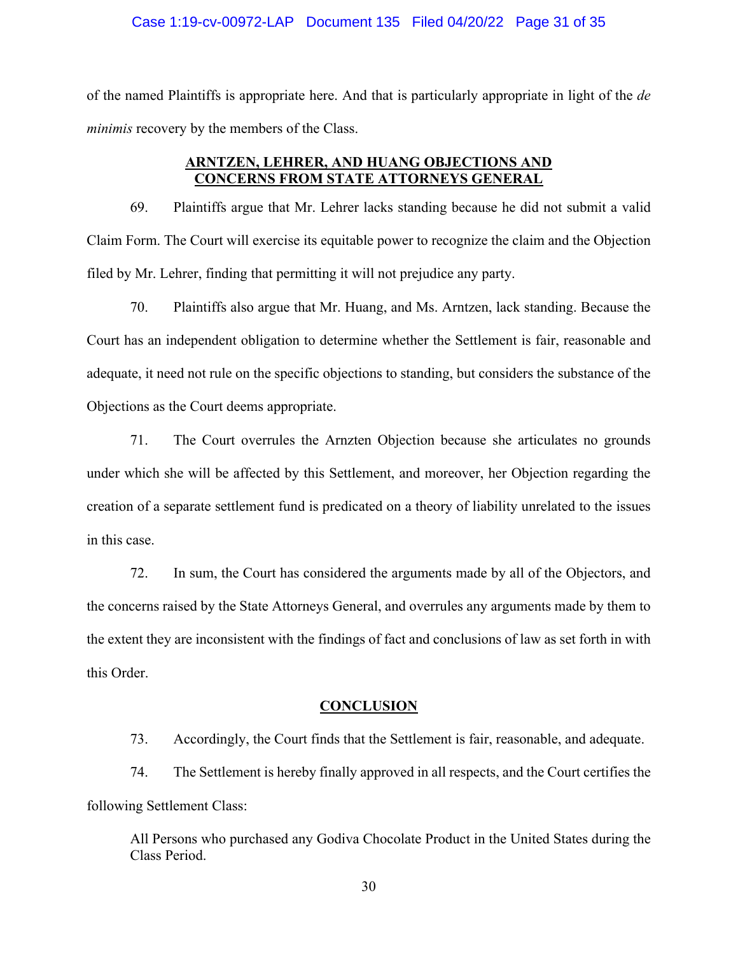#### Case 1:19-cv-00972-LAP Document 135 Filed 04/20/22 Page 31 of 35

of the named Plaintiffs is appropriate here. And that is particularly appropriate in light of the *de minimis* recovery by the members of the Class.

## **ARNTZEN, LEHRER, AND HUANG OBJECTIONS AND CONCERNS FROM STATE ATTORNEYS GENERAL**

69. Plaintiffs argue that Mr. Lehrer lacks standing because he did not submit a valid Claim Form. The Court will exercise its equitable power to recognize the claim and the Objection filed by Mr. Lehrer, finding that permitting it will not prejudice any party.

70. Plaintiffs also argue that Mr. Huang, and Ms. Arntzen, lack standing. Because the Court has an independent obligation to determine whether the Settlement is fair, reasonable and adequate, it need not rule on the specific objections to standing, but considers the substance of the Objections as the Court deems appropriate.

71. The Court overrules the Arnzten Objection because she articulates no grounds under which she will be affected by this Settlement, and moreover, her Objection regarding the creation of a separate settlement fund is predicated on a theory of liability unrelated to the issues in this case.

72. In sum, the Court has considered the arguments made by all of the Objectors, and the concerns raised by the State Attorneys General, and overrules any arguments made by them to the extent they are inconsistent with the findings of fact and conclusions of law as set forth in with this Order.

#### **CONCLUSION**

73. Accordingly, the Court finds that the Settlement is fair, reasonable, and adequate.

74. The Settlement is hereby finally approved in all respects, and the Court certifies the following Settlement Class:

All Persons who purchased any Godiva Chocolate Product in the United States during the Class Period.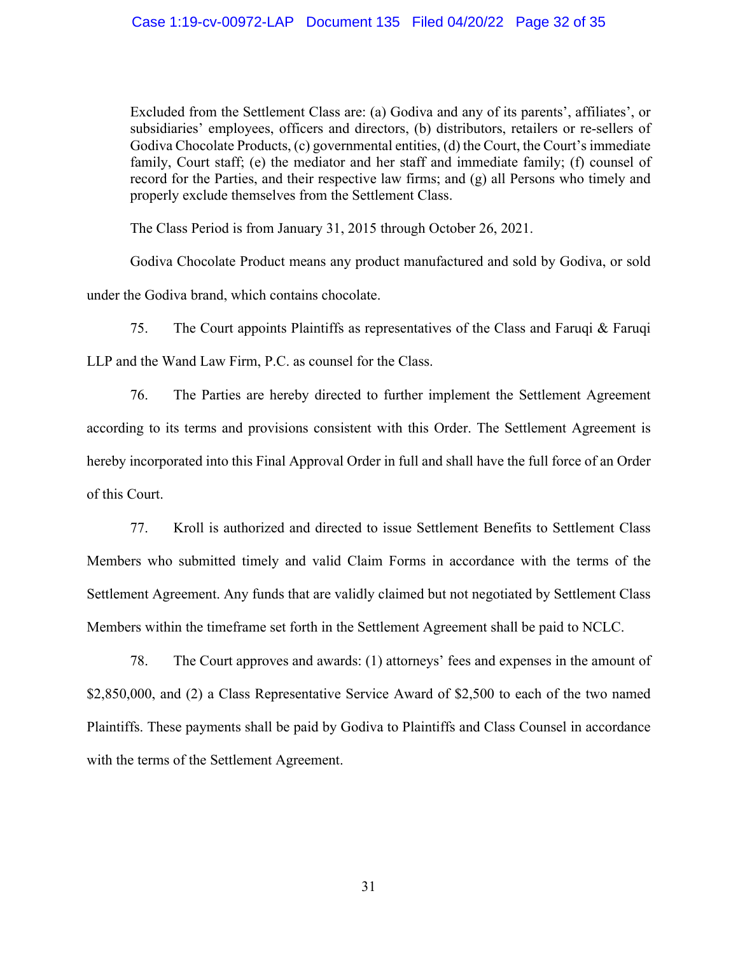Excluded from the Settlement Class are: (a) Godiva and any of its parents', affiliates', or subsidiaries' employees, officers and directors, (b) distributors, retailers or re-sellers of Godiva Chocolate Products, (c) governmental entities, (d) the Court, the Court's immediate family, Court staff; (e) the mediator and her staff and immediate family; (f) counsel of record for the Parties, and their respective law firms; and (g) all Persons who timely and properly exclude themselves from the Settlement Class.

The Class Period is from January 31, 2015 through October 26, 2021.

Godiva Chocolate Product means any product manufactured and sold by Godiva, or sold under the Godiva brand, which contains chocolate.

75. The Court appoints Plaintiffs as representatives of the Class and Faruqi & Faruqi LLP and the Wand Law Firm, P.C. as counsel for the Class.

76. The Parties are hereby directed to further implement the Settlement Agreement according to its terms and provisions consistent with this Order. The Settlement Agreement is hereby incorporated into this Final Approval Order in full and shall have the full force of an Order of this Court.

77. Kroll is authorized and directed to issue Settlement Benefits to Settlement Class Members who submitted timely and valid Claim Forms in accordance with the terms of the Settlement Agreement. Any funds that are validly claimed but not negotiated by Settlement Class Members within the timeframe set forth in the Settlement Agreement shall be paid to NCLC.

78. The Court approves and awards: (1) attorneys' fees and expenses in the amount of \$2,850,000, and (2) a Class Representative Service Award of \$2,500 to each of the two named Plaintiffs. These payments shall be paid by Godiva to Plaintiffs and Class Counsel in accordance with the terms of the Settlement Agreement.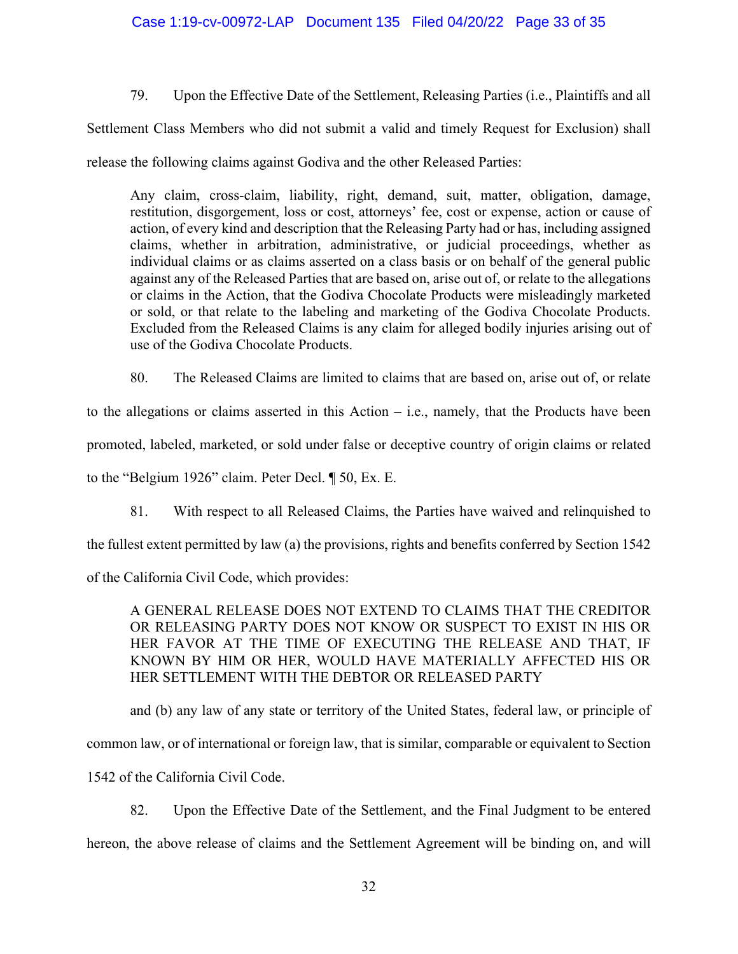79. Upon the Effective Date of the Settlement, Releasing Parties (i.e., Plaintiffs and all

Settlement Class Members who did not submit a valid and timely Request for Exclusion) shall

release the following claims against Godiva and the other Released Parties:

Any claim, cross-claim, liability, right, demand, suit, matter, obligation, damage, restitution, disgorgement, loss or cost, attorneys' fee, cost or expense, action or cause of action, of every kind and description that the Releasing Party had or has, including assigned claims, whether in arbitration, administrative, or judicial proceedings, whether as individual claims or as claims asserted on a class basis or on behalf of the general public against any of the Released Parties that are based on, arise out of, or relate to the allegations or claims in the Action, that the Godiva Chocolate Products were misleadingly marketed or sold, or that relate to the labeling and marketing of the Godiva Chocolate Products. Excluded from the Released Claims is any claim for alleged bodily injuries arising out of use of the Godiva Chocolate Products.

80. The Released Claims are limited to claims that are based on, arise out of, or relate

to the allegations or claims asserted in this Action – i.e., namely, that the Products have been promoted, labeled, marketed, or sold under false or deceptive country of origin claims or related

to the "Belgium 1926" claim. Peter Decl. ¶ 50, Ex. E.

81. With respect to all Released Claims, the Parties have waived and relinquished to

the fullest extent permitted by law (a) the provisions, rights and benefits conferred by Section 1542

of the California Civil Code, which provides:

A GENERAL RELEASE DOES NOT EXTEND TO CLAIMS THAT THE CREDITOR OR RELEASING PARTY DOES NOT KNOW OR SUSPECT TO EXIST IN HIS OR HER FAVOR AT THE TIME OF EXECUTING THE RELEASE AND THAT, IF KNOWN BY HIM OR HER, WOULD HAVE MATERIALLY AFFECTED HIS OR HER SETTLEMENT WITH THE DEBTOR OR RELEASED PARTY

and (b) any law of any state or territory of the United States, federal law, or principle of common law, or of international or foreign law, that is similar, comparable or equivalent to Section 1542 of the California Civil Code.

82. Upon the Effective Date of the Settlement, and the Final Judgment to be entered hereon, the above release of claims and the Settlement Agreement will be binding on, and will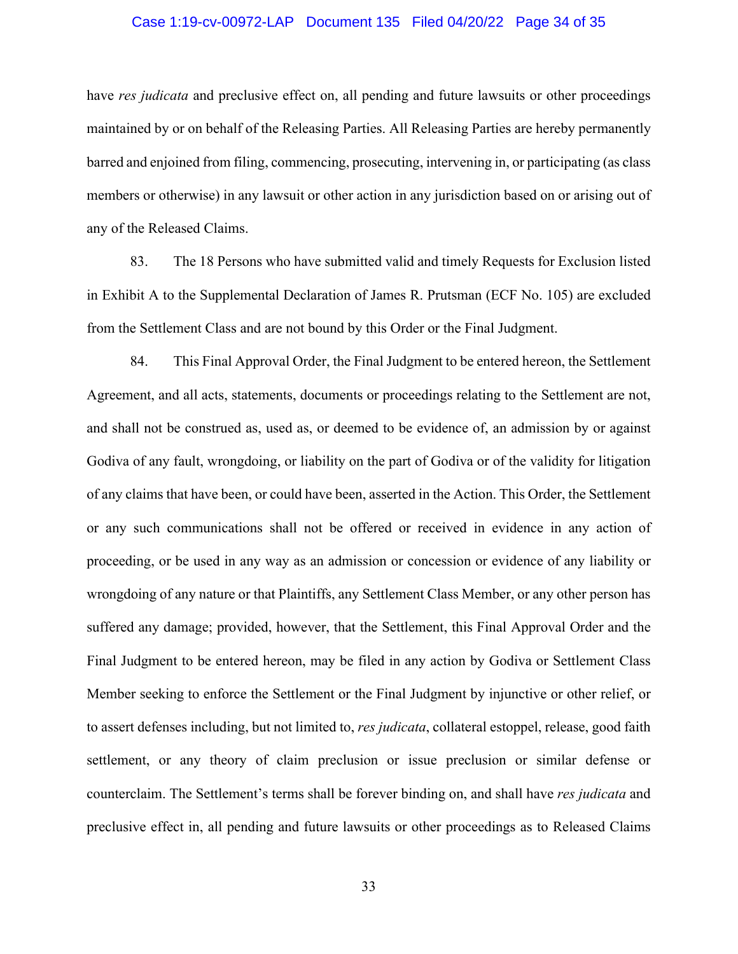## Case 1:19-cv-00972-LAP Document 135 Filed 04/20/22 Page 34 of 35

have *res judicata* and preclusive effect on, all pending and future lawsuits or other proceedings maintained by or on behalf of the Releasing Parties. All Releasing Parties are hereby permanently barred and enjoined from filing, commencing, prosecuting, intervening in, or participating (as class members or otherwise) in any lawsuit or other action in any jurisdiction based on or arising out of any of the Released Claims.

83. The 18 Persons who have submitted valid and timely Requests for Exclusion listed in Exhibit A to the Supplemental Declaration of James R. Prutsman (ECF No. 105) are excluded from the Settlement Class and are not bound by this Order or the Final Judgment.

84. This Final Approval Order, the Final Judgment to be entered hereon, the Settlement Agreement, and all acts, statements, documents or proceedings relating to the Settlement are not, and shall not be construed as, used as, or deemed to be evidence of, an admission by or against Godiva of any fault, wrongdoing, or liability on the part of Godiva or of the validity for litigation of any claims that have been, or could have been, asserted in the Action. This Order, the Settlement or any such communications shall not be offered or received in evidence in any action of proceeding, or be used in any way as an admission or concession or evidence of any liability or wrongdoing of any nature or that Plaintiffs, any Settlement Class Member, or any other person has suffered any damage; provided, however, that the Settlement, this Final Approval Order and the Final Judgment to be entered hereon, may be filed in any action by Godiva or Settlement Class Member seeking to enforce the Settlement or the Final Judgment by injunctive or other relief, or to assert defenses including, but not limited to, *res judicata*, collateral estoppel, release, good faith settlement, or any theory of claim preclusion or issue preclusion or similar defense or counterclaim. The Settlement's terms shall be forever binding on, and shall have *res judicata* and preclusive effect in, all pending and future lawsuits or other proceedings as to Released Claims